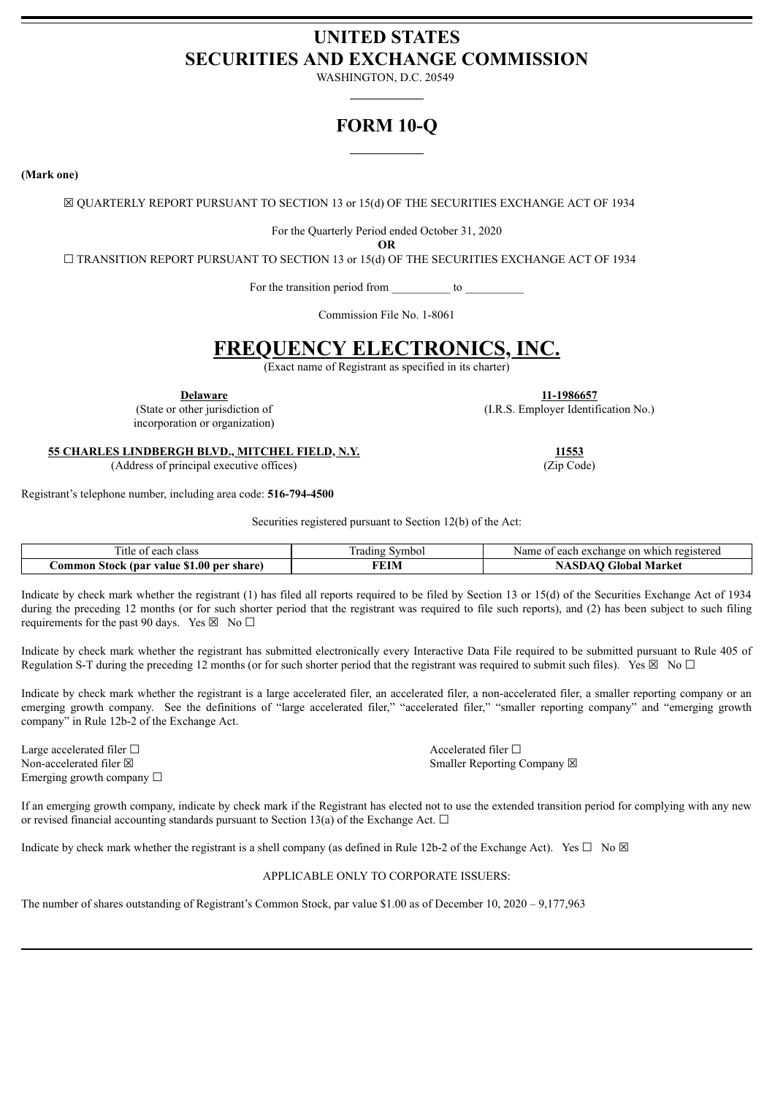# **UNITED STATES SECURITIES AND EXCHANGE COMMISSION**

WASHINGTON, D.C. 20549

# **FORM 10-Q**

**(Mark one)**

☒ QUARTERLY REPORT PURSUANT TO SECTION 13 or 15(d) OF THE SECURITIES EXCHANGE ACT OF 1934

For the Quarterly Period ended October 31, 2020

**OR**

 $\Box$  TRANSITION REPORT PURSUANT TO SECTION 13 or 15(d) OF THE SECURITIES EXCHANGE ACT OF 1934

For the transition period from to  $\sim$ 

Commission File No. 1-8061

# **FREQUENCY ELECTRONICS, INC.**

(Exact name of Registrant as specified in its charter)

**Delaware 11-1986657**

(State or other jurisdiction of incorporation or organization)

**55 CHARLES LINDBERGH BLVD., MITCHEL FIELD, N.Y. 11553**

(Address of principal executive offices) (Zip Code)

Registrant's telephone number, including area code: **516-794-4500**

Securities registered pursuant to Section 12(b) of the Act:

| : each<br>class<br>itle of                | Svmbol<br>rading | Name of each exchange on which registered |
|-------------------------------------------|------------------|-------------------------------------------|
| Common Stock (par value \$1.00 per share) | <b>FEIM</b>      | Global Market<br>чаэт                     |

Indicate by check mark whether the registrant (1) has filed all reports required to be filed by Section 13 or 15(d) of the Securities Exchange Act of 1934 during the preceding 12 months (or for such shorter period that the registrant was required to file such reports), and (2) has been subject to such filing requirements for the past 90 days. Yes  $\boxtimes$  No  $\Box$ 

Indicate by check mark whether the registrant has submitted electronically every Interactive Data File required to be submitted pursuant to Rule 405 of Regulation S-T during the preceding 12 months (or for such shorter period that the registrant was required to submit such files). Yes  $\boxtimes$  No  $\square$ 

Indicate by check mark whether the registrant is a large accelerated filer, an accelerated filer, a non-accelerated filer, a smaller reporting company or an emerging growth company. See the definitions of "large accelerated filer," "accelerated filer," "smaller reporting company" and "emerging growth company" in Rule 12b-2 of the Exchange Act.

Large accelerated filer □ accelerated filer □ Emerging growth company  $\Box$ 

Non-accelerated filer ⊠ in the state of the state of the Smaller Reporting Company ⊠

If an emerging growth company, indicate by check mark if the Registrant has elected not to use the extended transition period for complying with any new or revised financial accounting standards pursuant to Section 13(a) of the Exchange Act.  $\Box$ 

Indicate by check mark whether the registrant is a shell company (as defined in Rule 12b-2 of the Exchange Act). Yes  $\Box$  No  $\boxtimes$ 

## APPLICABLE ONLY TO CORPORATE ISSUERS:

The number of shares outstanding of Registrant's Common Stock, par value \$1.00 as of December 10, 2020 – 9,177,963

(I.R.S. Employer Identification No.)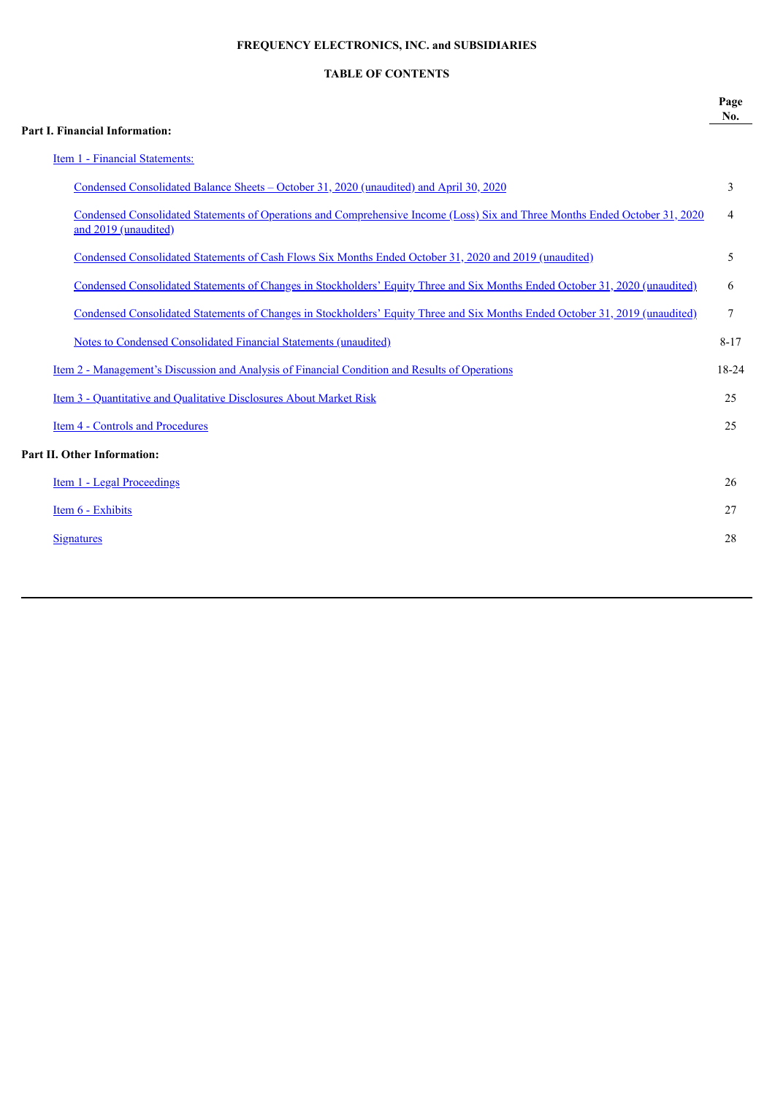## **TABLE OF CONTENTS**

<span id="page-1-0"></span>

| Part I. Financial Information:                                                                                                                      | Page<br>No. |
|-----------------------------------------------------------------------------------------------------------------------------------------------------|-------------|
| Item 1 - Financial Statements:                                                                                                                      |             |
| Condensed Consolidated Balance Sheets – October 31, 2020 (unaudited) and April 30, 2020                                                             | 3           |
| Condensed Consolidated Statements of Operations and Comprehensive Income (Loss) Six and Three Months Ended October 31, 2020<br>and 2019 (unaudited) | 4           |
| Condensed Consolidated Statements of Cash Flows Six Months Ended October 31, 2020 and 2019 (unaudited)                                              | 5           |
| Condensed Consolidated Statements of Changes in Stockholders' Equity Three and Six Months Ended October 31, 2020 (unaudited)                        | 6           |
| Condensed Consolidated Statements of Changes in Stockholders' Equity Three and Six Months Ended October 31, 2019 (unaudited)                        | 7           |
| <b>Notes to Condensed Consolidated Financial Statements (unaudited)</b>                                                                             | $8 - 17$    |
| <u>Item 2 - Management's Discussion and Analysis of Financial Condition and Results of Operations</u>                                               | 18-24       |
| Item 3 - Quantitative and Qualitative Disclosures About Market Risk                                                                                 | 25          |
| <b>Item 4 - Controls and Procedures</b>                                                                                                             | 25          |
| Part II. Other Information:                                                                                                                         |             |
| Item 1 - Legal Proceedings                                                                                                                          | 26          |
| Item 6 - Exhibits                                                                                                                                   | 27          |
| <b>Signatures</b>                                                                                                                                   | 28          |
|                                                                                                                                                     |             |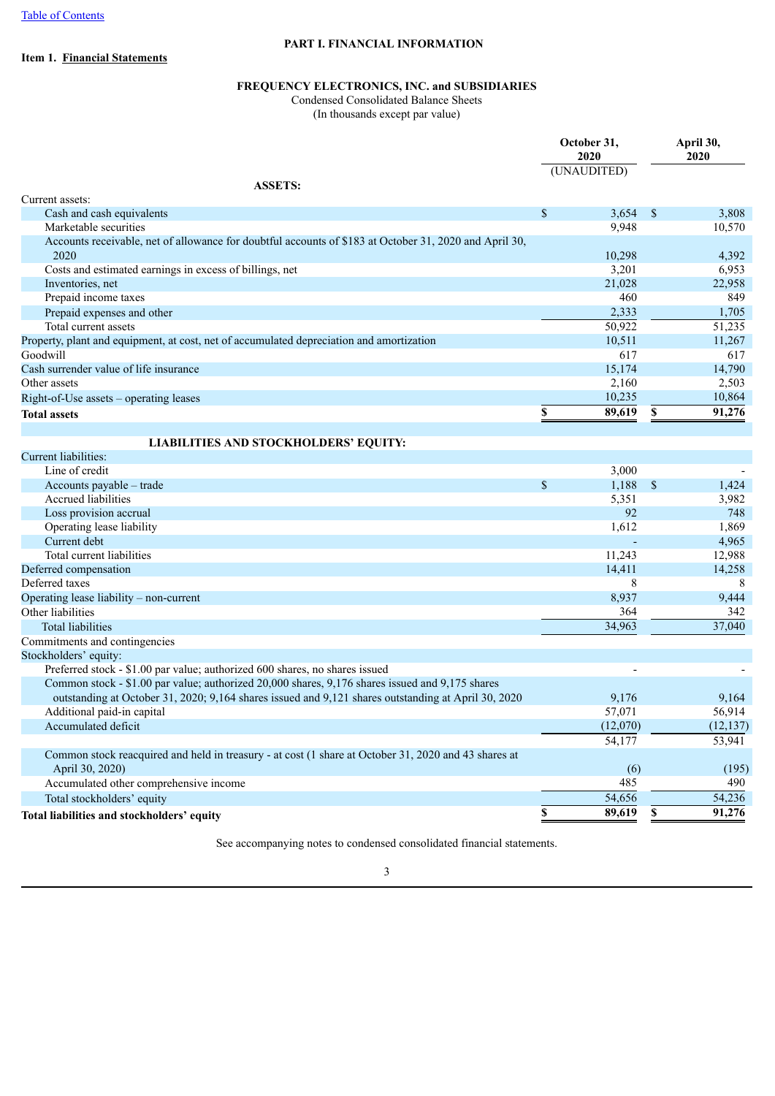## **PART I. FINANCIAL INFORMATION**

## <span id="page-2-1"></span><span id="page-2-0"></span>**Item 1. Financial Statements**

## **FREQUENCY ELECTRONICS, INC. and SUBSIDIARIES**

Condensed Consolidated Balance Sheets

(In thousands except par value)

|                                                                                                                | October 31,<br>2020 |             |                           | April 30,<br>2020 |
|----------------------------------------------------------------------------------------------------------------|---------------------|-------------|---------------------------|-------------------|
|                                                                                                                |                     | (UNAUDITED) |                           |                   |
| <b>ASSETS:</b>                                                                                                 |                     |             |                           |                   |
| Current assets:                                                                                                |                     |             |                           |                   |
| Cash and cash equivalents                                                                                      | \$                  | 3,654       | $\sqrt{3}$                | 3,808             |
| Marketable securities                                                                                          |                     | 9,948       |                           | 10,570            |
| Accounts receivable, net of allowance for doubtful accounts of \$183 at October 31, 2020 and April 30,<br>2020 |                     | 10,298      |                           | 4,392             |
| Costs and estimated earnings in excess of billings, net                                                        |                     | 3,201       |                           | 6,953             |
| Inventories, net                                                                                               |                     | 21,028      |                           | 22,958            |
| Prepaid income taxes                                                                                           |                     | 460         |                           | 849               |
| Prepaid expenses and other                                                                                     |                     | 2,333       |                           | 1,705             |
| Total current assets                                                                                           |                     | 50,922      |                           | 51,235            |
| Property, plant and equipment, at cost, net of accumulated depreciation and amortization                       |                     | 10,511      |                           | 11,267            |
| Goodwill                                                                                                       |                     | 617         |                           | 617               |
| Cash surrender value of life insurance                                                                         |                     | 15,174      |                           | 14,790            |
| Other assets                                                                                                   |                     | 2,160       |                           | 2,503             |
| Right-of-Use assets - operating leases                                                                         |                     | 10,235      |                           | 10,864            |
| <b>Total assets</b>                                                                                            | \$                  | 89,619      | \$                        | 91,276            |
|                                                                                                                |                     |             |                           |                   |
| LIABILITIES AND STOCKHOLDERS' EQUITY:                                                                          |                     |             |                           |                   |
| Current liabilities:                                                                                           |                     |             |                           |                   |
| Line of credit                                                                                                 |                     | 3,000       |                           |                   |
| Accounts payable – trade                                                                                       | \$                  | 1,188       | $\boldsymbol{\mathsf{S}}$ | 1,424             |
| Accrued liabilities                                                                                            |                     | 5,351       |                           | 3,982             |
| Loss provision accrual                                                                                         |                     | 92          |                           | 748               |
| Operating lease liability                                                                                      |                     | 1,612       |                           | 1,869             |
| Current debt                                                                                                   |                     |             |                           | 4,965             |
| Total current liabilities                                                                                      |                     | 11,243      |                           | 12,988            |
| Deferred compensation                                                                                          |                     | 14,411      |                           | 14,258            |
| Deferred taxes                                                                                                 |                     | 8           |                           | 8                 |
| Operating lease liability - non-current                                                                        |                     | 8,937       |                           | 9,444             |
| Other liabilities                                                                                              |                     | 364         |                           | 342               |
| <b>Total liabilities</b>                                                                                       |                     | 34,963      |                           | 37,040            |
| Commitments and contingencies                                                                                  |                     |             |                           |                   |
| Stockholders' equity:                                                                                          |                     |             |                           |                   |
| Preferred stock - \$1.00 par value; authorized 600 shares, no shares issued                                    |                     |             |                           |                   |
| Common stock - \$1.00 par value; authorized 20,000 shares, 9,176 shares issued and 9,175 shares                |                     |             |                           |                   |
| outstanding at October 31, 2020; 9,164 shares issued and 9,121 shares outstanding at April 30, 2020            |                     | 9,176       |                           | 9,164             |
| Additional paid-in capital                                                                                     |                     | 57,071      |                           | 56,914            |
| Accumulated deficit                                                                                            |                     | (12,070)    |                           | (12, 137)         |
|                                                                                                                |                     | 54,177      |                           | 53,941            |
| Common stock reacquired and held in treasury - at cost (1 share at October 31, 2020 and 43 shares at           |                     |             |                           |                   |
| April 30, 2020)                                                                                                |                     | (6)         |                           | (195)             |
| Accumulated other comprehensive income                                                                         |                     | 485         |                           | 490               |
| Total stockholders' equity                                                                                     |                     | 54,656      |                           | 54,236            |
| Total liabilities and stockholders' equity                                                                     | \$                  | 89,619      | $\mathbb S$               | 91,276            |
|                                                                                                                |                     |             |                           |                   |

See accompanying notes to condensed consolidated financial statements.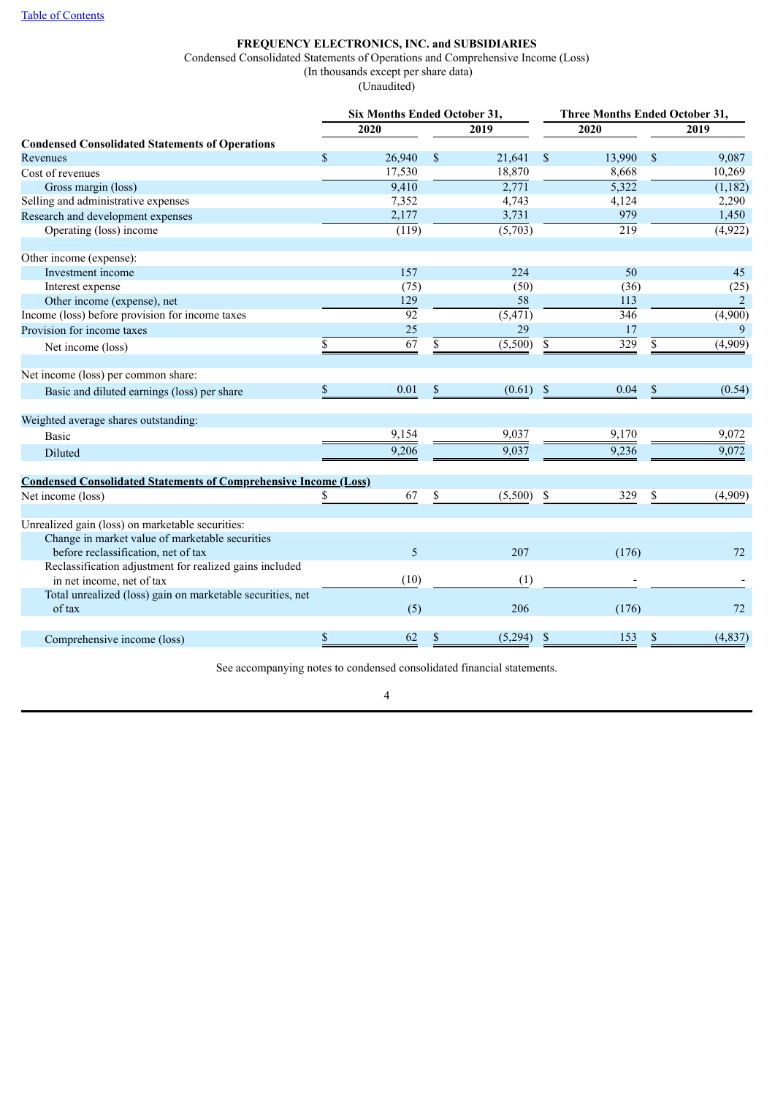Condensed Consolidated Statements of Operations and Comprehensive Income (Loss)

(In thousands except per share data) (Unaudited)

<span id="page-3-0"></span>

|                                                                                      | Six Months Ended October 31, |                 |               |              |    |                  | <b>Three Months Ended October 31,</b> |                |  |  |  |
|--------------------------------------------------------------------------------------|------------------------------|-----------------|---------------|--------------|----|------------------|---------------------------------------|----------------|--|--|--|
|                                                                                      |                              | 2020            |               | 2019         |    | 2020             |                                       | 2019           |  |  |  |
| <b>Condensed Consolidated Statements of Operations</b>                               |                              |                 |               |              |    |                  |                                       |                |  |  |  |
| Revenues                                                                             | $\mathbf S$                  | 26,940          | <sup>\$</sup> | 21,641       | \$ | 13,990           | $\mathbf{s}$                          | 9,087          |  |  |  |
| Cost of revenues                                                                     |                              | 17,530          |               | 18,870       |    | 8,668            |                                       | 10,269         |  |  |  |
| Gross margin (loss)                                                                  |                              | 9,410           |               | 2,771        |    | 5,322            |                                       | (1, 182)       |  |  |  |
| Selling and administrative expenses                                                  |                              | 7,352           |               | 4,743        |    | 4,124            |                                       | 2,290          |  |  |  |
| Research and development expenses                                                    |                              | 2,177           |               | 3,731        |    | 979              |                                       | 1,450          |  |  |  |
| Operating (loss) income                                                              |                              | (119)           |               | (5,703)      |    | 219              |                                       | (4,922)        |  |  |  |
| Other income (expense):                                                              |                              |                 |               |              |    |                  |                                       |                |  |  |  |
| Investment income                                                                    |                              | 157             |               | 224          |    | 50               |                                       | 45             |  |  |  |
| Interest expense                                                                     |                              | (75)            |               | (50)         |    | (36)             |                                       | (25)           |  |  |  |
| Other income (expense), net                                                          |                              | 129             |               | 58           |    | 113              |                                       | $\overline{2}$ |  |  |  |
| Income (loss) before provision for income taxes                                      |                              | $\overline{92}$ |               | (5, 471)     |    | $\overline{346}$ |                                       | (4,900)        |  |  |  |
| Provision for income taxes                                                           |                              | 25              |               | 29           |    | 17               |                                       | 9              |  |  |  |
| Net income (loss)                                                                    | \$                           | 67              | \$            | (5,500)      | S. | 329              | \$                                    | (4,909)        |  |  |  |
| Net income (loss) per common share:                                                  |                              |                 |               |              |    |                  |                                       |                |  |  |  |
| Basic and diluted earnings (loss) per share                                          | \$                           | 0.01            |               | $(0.61)$ \$  |    | 0.04             | \$                                    | (0.54)         |  |  |  |
| Weighted average shares outstanding:                                                 |                              |                 |               |              |    |                  |                                       |                |  |  |  |
| <b>Basic</b>                                                                         |                              | 9,154           |               | 9,037        |    | 9,170            |                                       | 9,072          |  |  |  |
| <b>Diluted</b>                                                                       |                              | 9,206           |               | 9,037        |    | 9,236            |                                       | 9,072          |  |  |  |
| <b>Condensed Consolidated Statements of Comprehensive Income (Loss)</b>              |                              |                 |               |              |    |                  |                                       |                |  |  |  |
| Net income (loss)                                                                    | \$                           | 67              | \$            | $(5,500)$ \$ |    | 329              | \$                                    | (4,909)        |  |  |  |
| Unrealized gain (loss) on marketable securities:                                     |                              |                 |               |              |    |                  |                                       |                |  |  |  |
| Change in market value of marketable securities                                      |                              |                 |               |              |    |                  |                                       |                |  |  |  |
| before reclassification, net of tax                                                  |                              | 5               |               | 207          |    | (176)            |                                       | 72             |  |  |  |
| Reclassification adjustment for realized gains included<br>in net income, net of tax |                              | (10)            |               | (1)          |    |                  |                                       |                |  |  |  |
| Total unrealized (loss) gain on marketable securities, net                           |                              |                 |               |              |    |                  |                                       |                |  |  |  |
| of tax                                                                               |                              | (5)             |               | 206          |    | (176)            |                                       | 72             |  |  |  |
| Comprehensive income (loss)                                                          | \$                           | 62              |               | (5,294)      |    | 153              | S                                     | (4, 837)       |  |  |  |
|                                                                                      |                              |                 |               |              |    |                  |                                       |                |  |  |  |

See accompanying notes to condensed consolidated financial statements.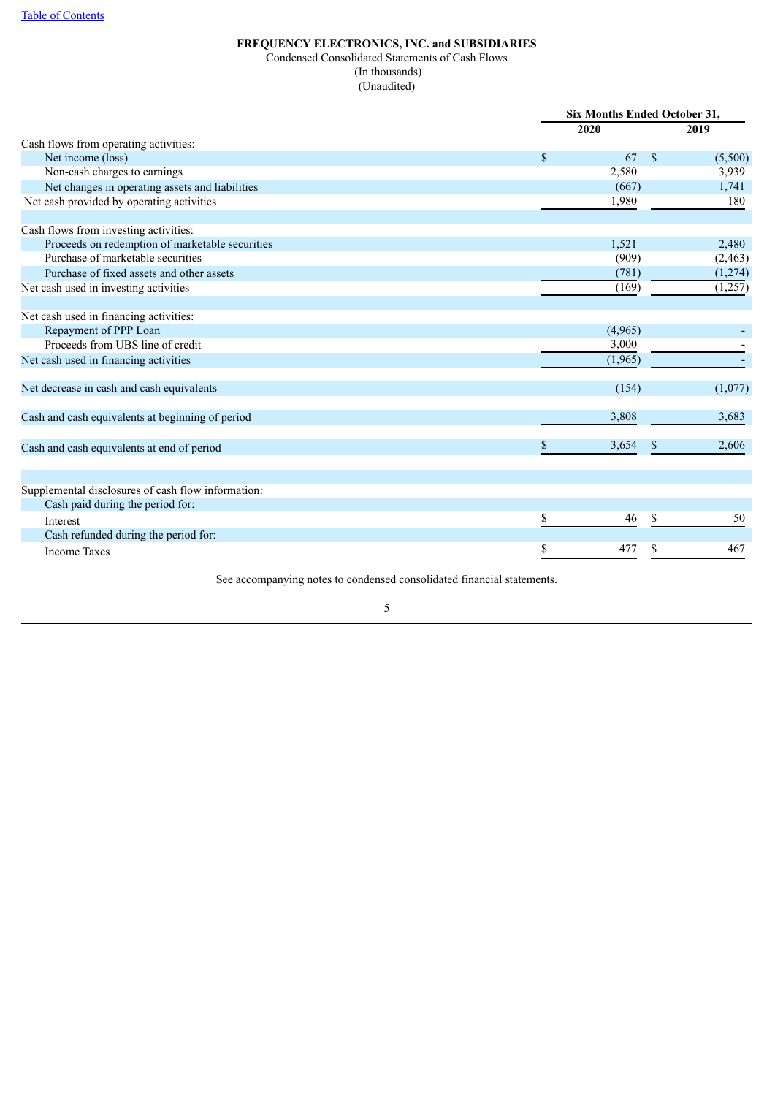## **FREQUENCY ELECTRONICS, INC. and SUBSIDIARIES** Condensed Consolidated Statements of Cash Flows (In thousands) (Unaudited)

<span id="page-4-0"></span>

|                                                    | Six Months Ended October 31, |         |              |          |
|----------------------------------------------------|------------------------------|---------|--------------|----------|
|                                                    | 2020                         |         |              | 2019     |
| Cash flows from operating activities:              |                              |         |              |          |
| Net income (loss)                                  | \$                           | 67      | $\mathbb{S}$ | (5,500)  |
| Non-cash charges to earnings                       |                              | 2,580   |              | 3,939    |
| Net changes in operating assets and liabilities    |                              | (667)   |              | 1,741    |
| Net cash provided by operating activities          |                              | 1,980   |              | 180      |
| Cash flows from investing activities:              |                              |         |              |          |
| Proceeds on redemption of marketable securities    |                              | 1,521   |              | 2,480    |
| Purchase of marketable securities                  |                              | (909)   |              | (2, 463) |
| Purchase of fixed assets and other assets          |                              | (781)   |              | (1,274)  |
| Net cash used in investing activities              |                              | (169)   |              | (1,257)  |
| Net cash used in financing activities:             |                              |         |              |          |
| Repayment of PPP Loan                              |                              | (4,965) |              |          |
| Proceeds from UBS line of credit                   |                              | 3,000   |              |          |
| Net cash used in financing activities              |                              | (1,965) |              |          |
| Net decrease in cash and cash equivalents          |                              | (154)   |              | (1,077)  |
| Cash and cash equivalents at beginning of period   |                              | 3,808   |              | 3,683    |
| Cash and cash equivalents at end of period         | S                            | 3,654   |              | 2,606    |
|                                                    |                              |         |              |          |
| Supplemental disclosures of cash flow information: |                              |         |              |          |
| Cash paid during the period for:                   |                              |         |              |          |
| Interest                                           | \$                           | 46      | \$.          | 50       |
| Cash refunded during the period for:               |                              |         |              |          |
| <b>Income Taxes</b>                                | S                            | 477     |              | 467      |

See accompanying notes to condensed consolidated financial statements.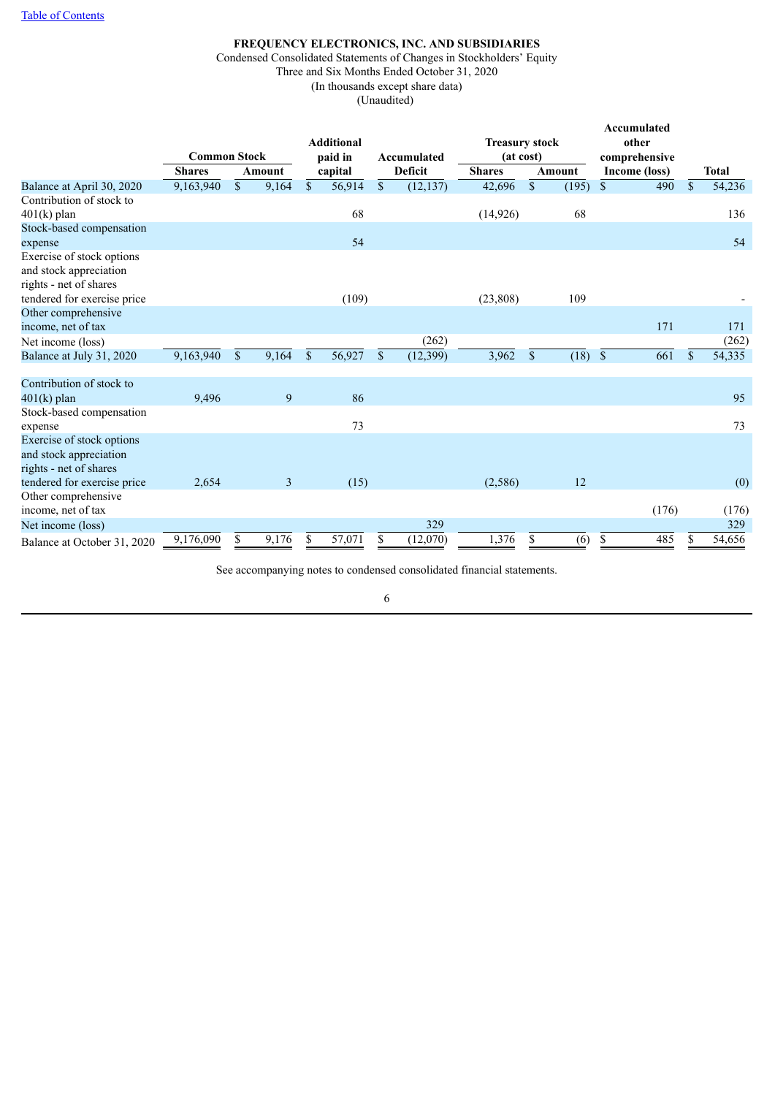Condensed Consolidated Statements of Changes in Stockholders' Equity

Three and Six Months Ended October 31, 2020

(In thousands except share data)

(Unaudited)

<span id="page-5-0"></span>

|                             | <b>Common Stock</b> |                 | <b>Additional</b><br>paid in<br>Accumulated |                 |         |                          | <b>Treasury stock</b><br>(at cost) |               |              |                   | <b>Accumulated</b><br>other |               | comprehensive |              |  |
|-----------------------------|---------------------|-----------------|---------------------------------------------|-----------------|---------|--------------------------|------------------------------------|---------------|--------------|-------------------|-----------------------------|---------------|---------------|--------------|--|
|                             | <b>Shares</b>       |                 | Amount                                      |                 | capital |                          | <b>Deficit</b>                     | <b>Shares</b> |              | <b>Amount</b>     |                             | Income (loss) |               | <b>Total</b> |  |
| Balance at April 30, 2020   | 9,163,940           | $\overline{\$}$ | 9,164                                       | $\overline{\$}$ | 56,914  | $\overline{\mathcal{S}}$ | (12, 137)                          | 42,696        | $\mathbb{S}$ | (195)             | \$                          | 490           | $\sqrt{\ }$   | 54,236       |  |
| Contribution of stock to    |                     |                 |                                             |                 |         |                          |                                    |               |              |                   |                             |               |               |              |  |
| $401(k)$ plan               |                     |                 |                                             |                 | 68      |                          |                                    | (14, 926)     |              | 68                |                             |               |               | 136          |  |
| Stock-based compensation    |                     |                 |                                             |                 |         |                          |                                    |               |              |                   |                             |               |               |              |  |
| expense                     |                     |                 |                                             |                 | 54      |                          |                                    |               |              |                   |                             |               |               | 54           |  |
| Exercise of stock options   |                     |                 |                                             |                 |         |                          |                                    |               |              |                   |                             |               |               |              |  |
| and stock appreciation      |                     |                 |                                             |                 |         |                          |                                    |               |              |                   |                             |               |               |              |  |
| rights - net of shares      |                     |                 |                                             |                 |         |                          |                                    |               |              |                   |                             |               |               |              |  |
| tendered for exercise price |                     |                 |                                             |                 | (109)   |                          |                                    | (23,808)      |              | 109               |                             |               |               |              |  |
| Other comprehensive         |                     |                 |                                             |                 |         |                          |                                    |               |              |                   |                             |               |               |              |  |
| income, net of tax          |                     |                 |                                             |                 |         |                          |                                    |               |              |                   |                             | 171           |               | 171          |  |
| Net income (loss)           |                     |                 |                                             |                 |         |                          | (262)                              |               |              |                   |                             |               |               | (262)        |  |
| Balance at July 31, 2020    | 9,163,940           | $\mathbf S$     | 9,164                                       | $\mathbf S$     | 56,927  | $\mathbf S$              | (12, 399)                          | 3,962         | $\mathbf S$  | $\overline{(18)}$ | $\mathbf{\hat{s}}$          | 661           | $\mathbf S$   | 54,335       |  |
|                             |                     |                 |                                             |                 |         |                          |                                    |               |              |                   |                             |               |               |              |  |
| Contribution of stock to    |                     |                 |                                             |                 |         |                          |                                    |               |              |                   |                             |               |               |              |  |
| $401(k)$ plan               | 9,496               |                 | 9                                           |                 | 86      |                          |                                    |               |              |                   |                             |               |               | 95           |  |
| Stock-based compensation    |                     |                 |                                             |                 |         |                          |                                    |               |              |                   |                             |               |               |              |  |
| expense                     |                     |                 |                                             |                 | 73      |                          |                                    |               |              |                   |                             |               |               | 73           |  |
| Exercise of stock options   |                     |                 |                                             |                 |         |                          |                                    |               |              |                   |                             |               |               |              |  |
| and stock appreciation      |                     |                 |                                             |                 |         |                          |                                    |               |              |                   |                             |               |               |              |  |
| rights - net of shares      |                     |                 |                                             |                 |         |                          |                                    |               |              |                   |                             |               |               |              |  |
| tendered for exercise price | 2,654               |                 | $\overline{3}$                              |                 | (15)    |                          |                                    | (2, 586)      |              | 12                |                             |               |               | (0)          |  |
| Other comprehensive         |                     |                 |                                             |                 |         |                          |                                    |               |              |                   |                             |               |               |              |  |
| income, net of tax          |                     |                 |                                             |                 |         |                          |                                    |               |              |                   |                             | (176)         |               | (176)        |  |
| Net income (loss)           |                     |                 |                                             |                 |         |                          | 329                                |               |              |                   |                             |               |               | 329          |  |
| Balance at October 31, 2020 | 9,176,090           | \$              | 9,176                                       | \$              | 57,071  | \$                       | (12,070)                           | 1,376         | \$           | (6)               | \$                          | 485           | \$            | 54,656       |  |

See accompanying notes to condensed consolidated financial statements.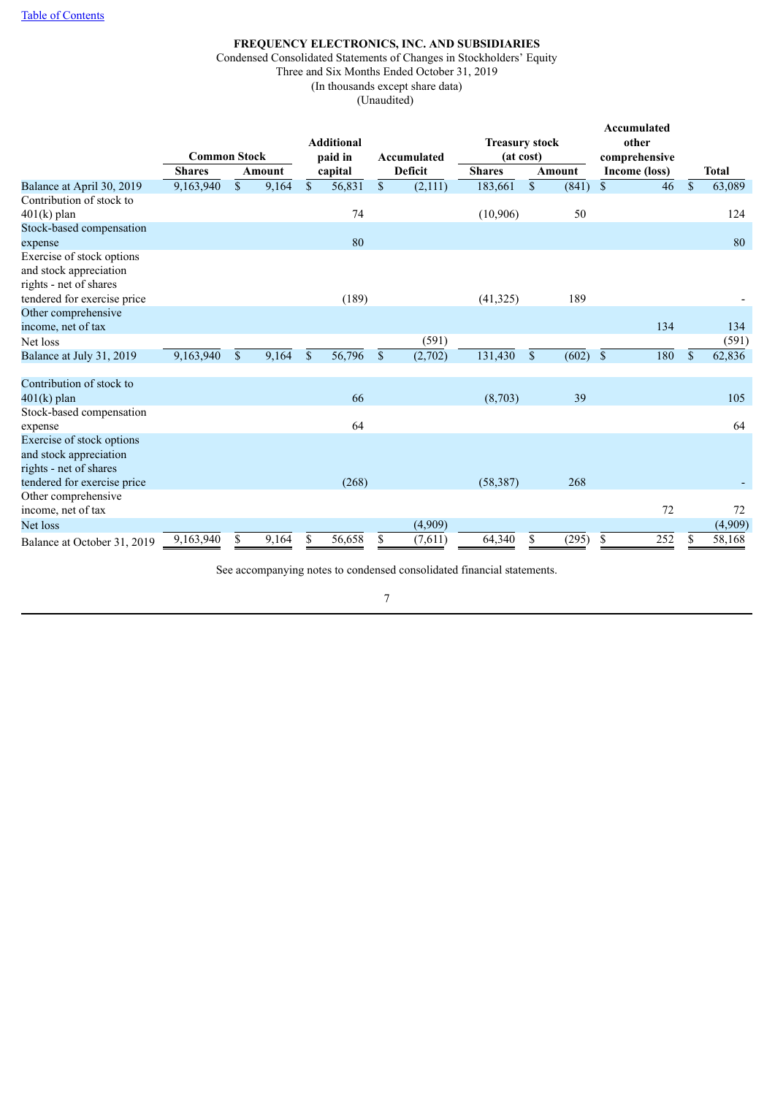Condensed Consolidated Statements of Changes in Stockholders' Equity

Three and Six Months Ended October 31, 2019

(In thousands except share data)

(Unaudited)

<span id="page-6-0"></span>

|                             |               | <b>Common Stock</b> |        |               | <b>Additional</b><br>paid in<br>Accumulated |                           | other<br><b>Treasury stock</b><br>(at cost) |               | <b>Accumulated</b> |        | comprehensive |               |             |              |
|-----------------------------|---------------|---------------------|--------|---------------|---------------------------------------------|---------------------------|---------------------------------------------|---------------|--------------------|--------|---------------|---------------|-------------|--------------|
|                             | <b>Shares</b> |                     | Amount |               | capital                                     |                           | <b>Deficit</b>                              | <b>Shares</b> |                    | Amount |               | Income (loss) |             | <b>Total</b> |
| Balance at April 30, 2019   | 9,163,940     | $\mathsf{\$}$       | 9,164  | $\mathsf{\$}$ | 56,831                                      | $\boldsymbol{\mathsf{S}}$ | (2,111)                                     | 183,661       | $\mathbb{S}$       | (841)  | \$            | 46            | $\sqrt{\ }$ | 63,089       |
| Contribution of stock to    |               |                     |        |               |                                             |                           |                                             |               |                    |        |               |               |             |              |
| $401(k)$ plan               |               |                     |        |               | 74                                          |                           |                                             | (10,906)      |                    | 50     |               |               |             | 124          |
| Stock-based compensation    |               |                     |        |               |                                             |                           |                                             |               |                    |        |               |               |             |              |
| expense                     |               |                     |        |               | 80                                          |                           |                                             |               |                    |        |               |               |             | 80           |
| Exercise of stock options   |               |                     |        |               |                                             |                           |                                             |               |                    |        |               |               |             |              |
| and stock appreciation      |               |                     |        |               |                                             |                           |                                             |               |                    |        |               |               |             |              |
| rights - net of shares      |               |                     |        |               |                                             |                           |                                             |               |                    |        |               |               |             |              |
| tendered for exercise price |               |                     |        |               | (189)                                       |                           |                                             | (41, 325)     |                    | 189    |               |               |             |              |
| Other comprehensive         |               |                     |        |               |                                             |                           |                                             |               |                    |        |               |               |             |              |
| income, net of tax          |               |                     |        |               |                                             |                           |                                             |               |                    |        |               | 134           |             | 134          |
| Net loss                    |               |                     |        |               |                                             |                           | (591)                                       |               |                    |        |               |               |             | (591)        |
| Balance at July 31, 2019    | 9,163,940     | $\mathbb{S}$        | 9,164  | \$            | 56,796                                      | \$                        | (2,702)                                     | 131,430       | \$                 | (602)  | $\sqrt{3}$    | 180           | \$          | 62,836       |
|                             |               |                     |        |               |                                             |                           |                                             |               |                    |        |               |               |             |              |
| Contribution of stock to    |               |                     |        |               |                                             |                           |                                             |               |                    |        |               |               |             |              |
| $401(k)$ plan               |               |                     |        |               | 66                                          |                           |                                             | (8,703)       |                    | 39     |               |               |             | 105          |
| Stock-based compensation    |               |                     |        |               |                                             |                           |                                             |               |                    |        |               |               |             |              |
| expense                     |               |                     |        |               | 64                                          |                           |                                             |               |                    |        |               |               |             | 64           |
| Exercise of stock options   |               |                     |        |               |                                             |                           |                                             |               |                    |        |               |               |             |              |
| and stock appreciation      |               |                     |        |               |                                             |                           |                                             |               |                    |        |               |               |             |              |
| rights - net of shares      |               |                     |        |               |                                             |                           |                                             |               |                    |        |               |               |             |              |
| tendered for exercise price |               |                     |        |               | (268)                                       |                           |                                             | (58, 387)     |                    | 268    |               |               |             |              |
| Other comprehensive         |               |                     |        |               |                                             |                           |                                             |               |                    |        |               |               |             |              |
| income, net of tax          |               |                     |        |               |                                             |                           |                                             |               |                    |        |               | 72            |             | 72           |
| Net loss                    |               |                     |        |               |                                             |                           | (4,909)                                     |               |                    |        |               |               |             | (4,909)      |
| Balance at October 31, 2019 | 9,163,940     | \$                  | 9,164  | \$            | 56,658                                      | \$                        | (7,611)                                     | 64,340        | \$                 | (295)  | \$            | 252           | \$          | 58,168       |

See accompanying notes to condensed consolidated financial statements.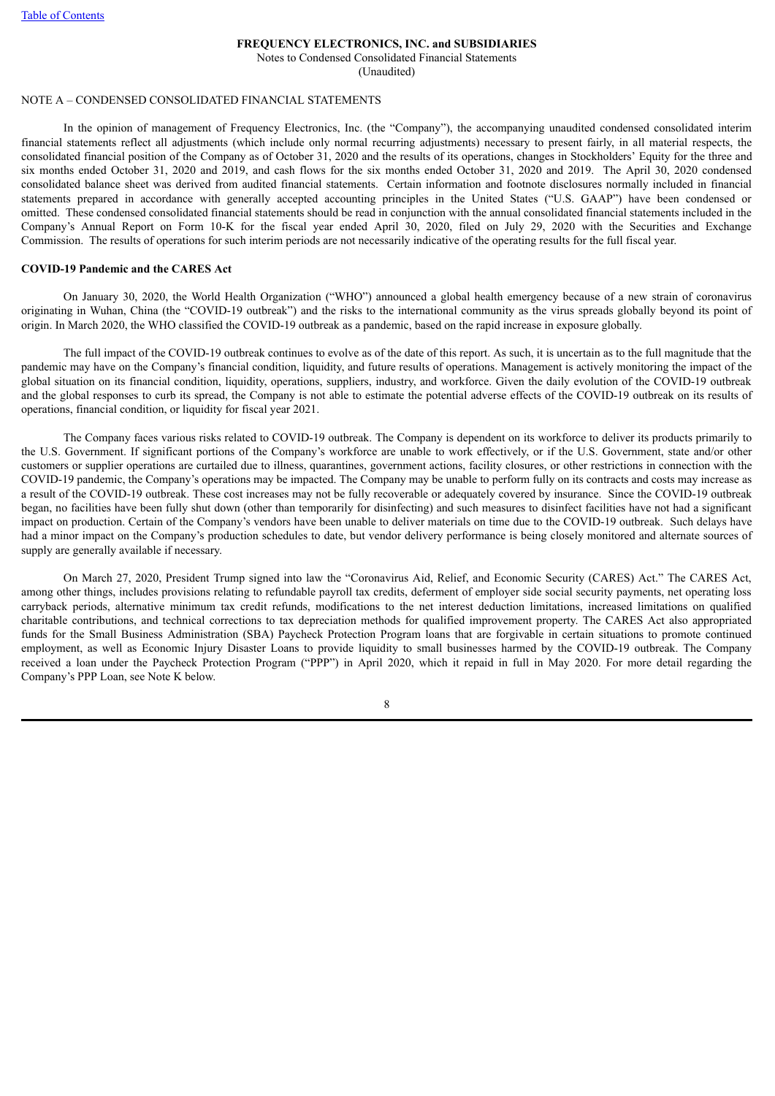Notes to Condensed Consolidated Financial Statements

(Unaudited)

#### <span id="page-7-0"></span>NOTE A – CONDENSED CONSOLIDATED FINANCIAL STATEMENTS

In the opinion of management of Frequency Electronics, Inc. (the "Company"), the accompanying unaudited condensed consolidated interim financial statements reflect all adjustments (which include only normal recurring adjustments) necessary to present fairly, in all material respects, the consolidated financial position of the Company as of October 31, 2020 and the results of its operations, changes in Stockholders' Equity for the three and six months ended October 31, 2020 and 2019, and cash flows for the six months ended October 31, 2020 and 2019. The April 30, 2020 condensed consolidated balance sheet was derived from audited financial statements. Certain information and footnote disclosures normally included in financial statements prepared in accordance with generally accepted accounting principles in the United States ("U.S. GAAP") have been condensed or omitted. These condensed consolidated financial statements should be read in conjunction with the annual consolidated financial statements included in the Company's Annual Report on Form 10-K for the fiscal year ended April 30, 2020, filed on July 29, 2020 with the Securities and Exchange Commission. The results of operations for such interim periods are not necessarily indicative of the operating results for the full fiscal year.

#### **COVID-19 Pandemic and the CARES Act**

On January 30, 2020, the World Health Organization ("WHO") announced a global health emergency because of a new strain of coronavirus originating in Wuhan, China (the "COVID-19 outbreak") and the risks to the international community as the virus spreads globally beyond its point of origin. In March 2020, the WHO classified the COVID-19 outbreak as a pandemic, based on the rapid increase in exposure globally.

The full impact of the COVID-19 outbreak continues to evolve as of the date of this report. As such, it is uncertain as to the full magnitude that the pandemic may have on the Company's financial condition, liquidity, and future results of operations. Management is actively monitoring the impact of the global situation on its financial condition, liquidity, operations, suppliers, industry, and workforce. Given the daily evolution of the COVID-19 outbreak and the global responses to curb its spread, the Company is not able to estimate the potential adverse effects of the COVID-19 outbreak on its results of operations, financial condition, or liquidity for fiscal year 2021.

The Company faces various risks related to COVID-19 outbreak. The Company is dependent on its workforce to deliver its products primarily to the U.S. Government. If significant portions of the Company's workforce are unable to work effectively, or if the U.S. Government, state and/or other customers or supplier operations are curtailed due to illness, quarantines, government actions, facility closures, or other restrictions in connection with the COVID-19 pandemic, the Company's operations may be impacted. The Company may be unable to perform fully on its contracts and costs may increase as a result of the COVID-19 outbreak. These cost increases may not be fully recoverable or adequately covered by insurance. Since the COVID-19 outbreak began, no facilities have been fully shut down (other than temporarily for disinfecting) and such measures to disinfect facilities have not had a significant impact on production. Certain of the Company's vendors have been unable to deliver materials on time due to the COVID-19 outbreak. Such delays have had a minor impact on the Company's production schedules to date, but vendor delivery performance is being closely monitored and alternate sources of supply are generally available if necessary.

On March 27, 2020, President Trump signed into law the "Coronavirus Aid, Relief, and Economic Security (CARES) Act." The CARES Act, among other things, includes provisions relating to refundable payroll tax credits, deferment of employer side social security payments, net operating loss carryback periods, alternative minimum tax credit refunds, modifications to the net interest deduction limitations, increased limitations on qualified charitable contributions, and technical corrections to tax depreciation methods for qualified improvement property. The CARES Act also appropriated funds for the Small Business Administration (SBA) Paycheck Protection Program loans that are forgivable in certain situations to promote continued employment, as well as Economic Injury Disaster Loans to provide liquidity to small businesses harmed by the COVID-19 outbreak. The Company received a loan under the Paycheck Protection Program ("PPP") in April 2020, which it repaid in full in May 2020. For more detail regarding the Company's PPP Loan, see Note K below.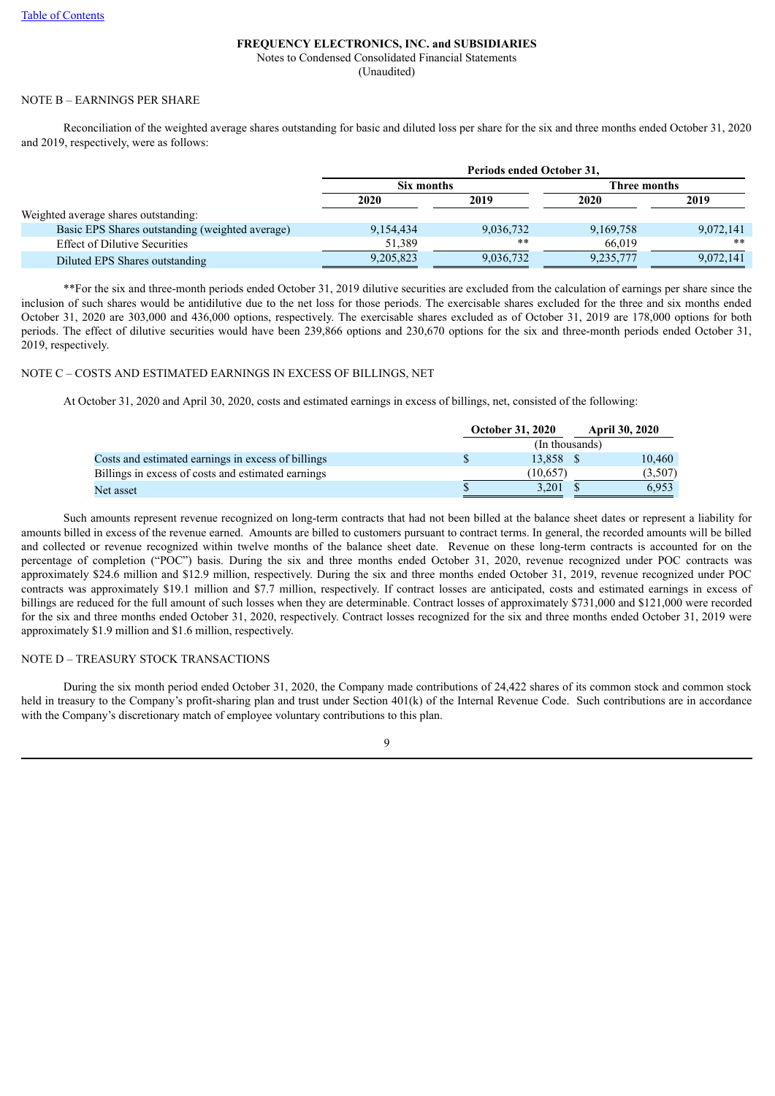Notes to Condensed Consolidated Financial Statements

(Unaudited)

#### NOTE B – EARNINGS PER SHARE

Reconciliation of the weighted average shares outstanding for basic and diluted loss per share for the six and three months ended October 31, 2020 and 2019, respectively, were as follows:

|                                                 |            | Periods ended October 31, |              |           |
|-------------------------------------------------|------------|---------------------------|--------------|-----------|
|                                                 | Six months |                           | Three months |           |
|                                                 | 2020       | 2019                      | 2020         | 2019      |
| Weighted average shares outstanding:            |            |                           |              |           |
| Basic EPS Shares outstanding (weighted average) | 9,154,434  | 9,036,732                 | 9,169,758    | 9,072,141 |
| <b>Effect of Dilutive Securities</b>            | 51,389     | $**$                      | 66.019       | $* *$     |
| Diluted EPS Shares outstanding                  | 9,205,823  | 9,036,732                 | 9,235,777    | 9,072,141 |

\*\*For the six and three-month periods ended October 31, 2019 dilutive securities are excluded from the calculation of earnings per share since the inclusion of such shares would be antidilutive due to the net loss for those periods. The exercisable shares excluded for the three and six months ended October 31, 2020 are 303,000 and 436,000 options, respectively. The exercisable shares excluded as of October 31, 2019 are 178,000 options for both periods. The effect of dilutive securities would have been 239,866 options and 230,670 options for the six and three-month periods ended October 31, 2019, respectively.

## NOTE C – COSTS AND ESTIMATED EARNINGS IN EXCESS OF BILLINGS, NET

At October 31, 2020 and April 30, 2020, costs and estimated earnings in excess of billings, net, consisted of the following:

|                                                    | April 30, 2020<br><b>October 31, 2020</b> |                |  |         |  |  |
|----------------------------------------------------|-------------------------------------------|----------------|--|---------|--|--|
|                                                    |                                           | (In thousands) |  |         |  |  |
| Costs and estimated earnings in excess of billings |                                           | 13.858 \$      |  | 10.460  |  |  |
| Billings in excess of costs and estimated earnings |                                           | (10.657)       |  | (3,507) |  |  |
| Net asset                                          |                                           | 3.201          |  | 6.953   |  |  |

Such amounts represent revenue recognized on long-term contracts that had not been billed at the balance sheet dates or represent a liability for amounts billed in excess of the revenue earned. Amounts are billed to customers pursuant to contract terms. In general, the recorded amounts will be billed and collected or revenue recognized within twelve months of the balance sheet date. Revenue on these long-term contracts is accounted for on the percentage of completion ("POC") basis. During the six and three months ended October 31, 2020, revenue recognized under POC contracts was approximately \$24.6 million and \$12.9 million, respectively. During the six and three months ended October 31, 2019, revenue recognized under POC contracts was approximately \$19.1 million and \$7.7 million, respectively. If contract losses are anticipated, costs and estimated earnings in excess of billings are reduced for the full amount of such losses when they are determinable. Contract losses of approximately \$731,000 and \$121,000 were recorded for the six and three months ended October 31, 2020, respectively. Contract losses recognized for the six and three months ended October 31, 2019 were approximately \$1.9 million and \$1.6 million, respectively.

#### NOTE D – TREASURY STOCK TRANSACTIONS

During the six month period ended October 31, 2020, the Company made contributions of 24,422 shares of its common stock and common stock held in treasury to the Company's profit-sharing plan and trust under Section 401(k) of the Internal Revenue Code. Such contributions are in accordance with the Company's discretionary match of employee voluntary contributions to this plan.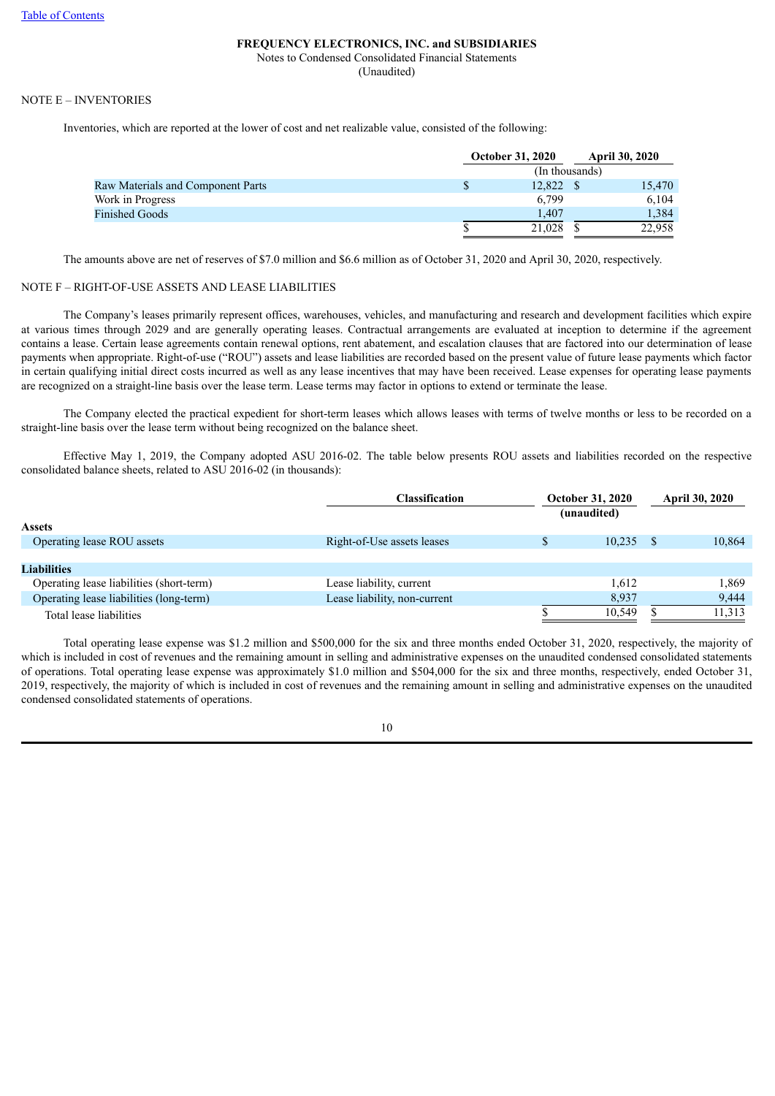Notes to Condensed Consolidated Financial Statements

(Unaudited)

#### NOTE E – INVENTORIES

Inventories, which are reported at the lower of cost and net realizable value, consisted of the following:

|                                   | <b>October 31, 2020</b> | <b>April 30, 2020</b> |
|-----------------------------------|-------------------------|-----------------------|
|                                   |                         | (In thousands)        |
| Raw Materials and Component Parts | 12.822                  | 15,470                |
| Work in Progress                  | 6.799                   | 6.104                 |
| <b>Finished Goods</b>             | 1.407                   | 1.384                 |
|                                   | 21,028                  | 22,958                |

The amounts above are net of reserves of \$7.0 million and \$6.6 million as of October 31, 2020 and April 30, 2020, respectively.

#### NOTE F – RIGHT-OF-USE ASSETS AND LEASE LIABILITIES

The Company's leases primarily represent offices, warehouses, vehicles, and manufacturing and research and development facilities which expire at various times through 2029 and are generally operating leases. Contractual arrangements are evaluated at inception to determine if the agreement contains a lease. Certain lease agreements contain renewal options, rent abatement, and escalation clauses that are factored into our determination of lease payments when appropriate. Right-of-use ("ROU") assets and lease liabilities are recorded based on the present value of future lease payments which factor in certain qualifying initial direct costs incurred as well as any lease incentives that may have been received. Lease expenses for operating lease payments are recognized on a straight-line basis over the lease term. Lease terms may factor in options to extend or terminate the lease.

The Company elected the practical expedient for short-term leases which allows leases with terms of twelve months or less to be recorded on a straight-line basis over the lease term without being recognized on the balance sheet.

Effective May 1, 2019, the Company adopted ASU 2016-02. The table below presents ROU assets and liabilities recorded on the respective consolidated balance sheets, related to ASU 2016-02 (in thousands):

|                                          | <b>Classification</b>        | <b>October 31, 2020</b><br>(unaudited) |        | <b>April 30, 2020</b> |
|------------------------------------------|------------------------------|----------------------------------------|--------|-----------------------|
| <b>Assets</b>                            |                              |                                        |        |                       |
| Operating lease ROU assets               | Right-of-Use assets leases   |                                        | 10,235 | 10,864                |
|                                          |                              |                                        |        |                       |
| <b>Liabilities</b>                       |                              |                                        |        |                       |
| Operating lease liabilities (short-term) | Lease liability, current     |                                        | 1.612  | 1.869                 |
| Operating lease liabilities (long-term)  | Lease liability, non-current |                                        | 8,937  | 9.444                 |
| Total lease liabilities                  |                              |                                        | 10.549 | 11,313                |

Total operating lease expense was \$1.2 million and \$500,000 for the six and three months ended October 31, 2020, respectively, the majority of which is included in cost of revenues and the remaining amount in selling and administrative expenses on the unaudited condensed consolidated statements of operations. Total operating lease expense was approximately \$1.0 million and \$504,000 for the six and three months, respectively, ended October 31, 2019, respectively, the majority of which is included in cost of revenues and the remaining amount in selling and administrative expenses on the unaudited condensed consolidated statements of operations.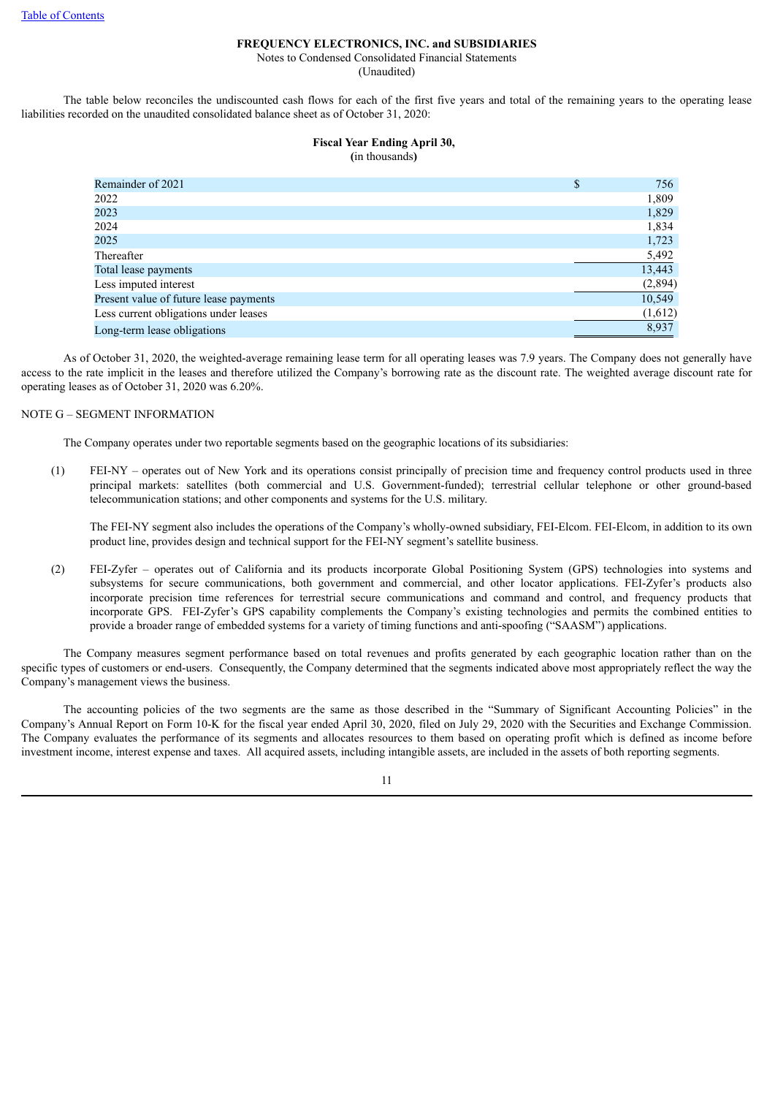Table of [Contents](#page-1-0)

#### **FREQUENCY ELECTRONICS, INC. and SUBSIDIARIES**

Notes to Condensed Consolidated Financial Statements

(Unaudited)

The table below reconciles the undiscounted cash flows for each of the first five years and total of the remaining years to the operating lease liabilities recorded on the unaudited consolidated balance sheet as of October 31, 2020:

## **Fiscal Year Ending April 30, (**in thousands**)**

| \$<br>756 |
|-----------|
|           |
| 1,809     |
| 1,829     |
| 1,834     |
| 1,723     |
| 5,492     |
| 13,443    |
| (2,894)   |
| 10,549    |
| (1,612)   |
| 8,937     |
|           |

As of October 31, 2020, the weighted-average remaining lease term for all operating leases was 7.9 years. The Company does not generally have access to the rate implicit in the leases and therefore utilized the Company's borrowing rate as the discount rate. The weighted average discount rate for operating leases as of October 31, 2020 was 6.20%.

## NOTE G – SEGMENT INFORMATION

The Company operates under two reportable segments based on the geographic locations of its subsidiaries:

(1) FEI-NY – operates out of New York and its operations consist principally of precision time and frequency control products used in three principal markets: satellites (both commercial and U.S. Government-funded); terrestrial cellular telephone or other ground-based telecommunication stations; and other components and systems for the U.S. military.

The FEI-NY segment also includes the operations of the Company's wholly-owned subsidiary, FEI-Elcom. FEI-Elcom, in addition to its own product line, provides design and technical support for the FEI-NY segment's satellite business.

(2) FEI-Zyfer – operates out of California and its products incorporate Global Positioning System (GPS) technologies into systems and subsystems for secure communications, both government and commercial, and other locator applications. FEI-Zyfer's products also incorporate precision time references for terrestrial secure communications and command and control, and frequency products that incorporate GPS. FEI-Zyfer's GPS capability complements the Company's existing technologies and permits the combined entities to provide a broader range of embedded systems for a variety of timing functions and anti-spoofing ("SAASM") applications.

The Company measures segment performance based on total revenues and profits generated by each geographic location rather than on the specific types of customers or end-users. Consequently, the Company determined that the segments indicated above most appropriately reflect the way the Company's management views the business.

The accounting policies of the two segments are the same as those described in the "Summary of Significant Accounting Policies" in the Company's Annual Report on Form 10-K for the fiscal year ended April 30, 2020, filed on July 29, 2020 with the Securities and Exchange Commission. The Company evaluates the performance of its segments and allocates resources to them based on operating profit which is defined as income before investment income, interest expense and taxes. All acquired assets, including intangible assets, are included in the assets of both reporting segments.

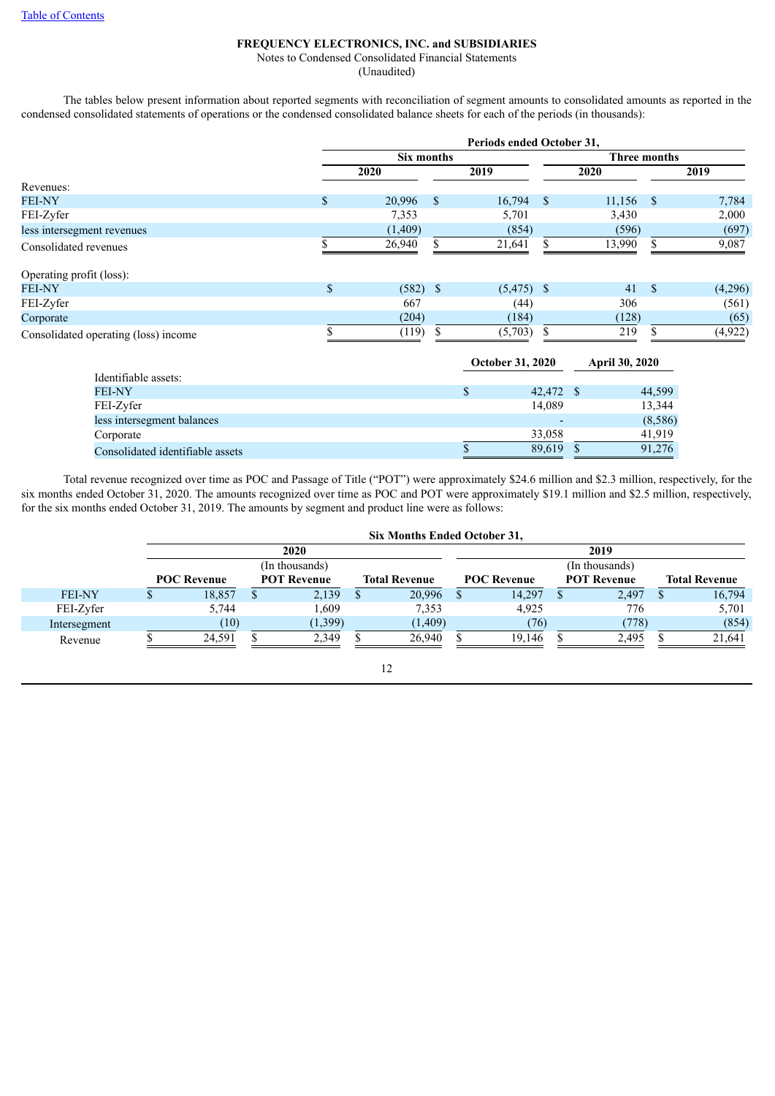Notes to Condensed Consolidated Financial Statements

(Unaudited)

The tables below present information about reported segments with reconciliation of segment amounts to consolidated amounts as reported in the condensed consolidated statements of operations or the condensed consolidated balance sheets for each of the periods (in thousands):

|                                      | Periods ended October 31, |            |               |              |     |              |    |         |  |  |  |
|--------------------------------------|---------------------------|------------|---------------|--------------|-----|--------------|----|---------|--|--|--|
|                                      |                           | Six months |               |              |     | Three months |    |         |  |  |  |
|                                      |                           | 2020       |               | 2019         |     | 2020         |    | 2019    |  |  |  |
| Revenues:                            |                           |            |               |              |     |              |    |         |  |  |  |
| FEI-NY                               | Эħ.                       | 20,996     | <sup>\$</sup> | 16,794       | - S | $11,156$ \$  |    | 7,784   |  |  |  |
| FEI-Zyfer                            |                           | 7,353      |               | 5,701        |     | 3,430        |    | 2,000   |  |  |  |
| less intersegment revenues           |                           | (1, 409)   |               | (854)        |     | (596)        |    | (697)   |  |  |  |
| Consolidated revenues                |                           | 26,940     |               | 21,641       |     | 13,990       |    | 9,087   |  |  |  |
| Operating profit (loss):             |                           |            |               |              |     |              |    |         |  |  |  |
| FEI-NY                               | \$                        | $(582)$ \$ |               | $(5,475)$ \$ |     | 41           | -S | (4,296) |  |  |  |
| FEI-Zyfer                            |                           | 667        |               | (44)         |     | 306          |    | (561)   |  |  |  |
| Corporate                            |                           | (204)      |               | (184)        |     | (128)        |    | (65)    |  |  |  |
| Consolidated operating (loss) income |                           | (119)      |               | (5,703)      |     | 219          |    | (4,922) |  |  |  |

|                                  | <b>October 31, 2020</b> |  |         |  |  |  |
|----------------------------------|-------------------------|--|---------|--|--|--|
| Identifiable assets:             |                         |  |         |  |  |  |
| FEI-NY                           | 42,472 \$               |  | 44,599  |  |  |  |
| FEI-Zyfer                        | 14.089                  |  | 13,344  |  |  |  |
| less intersegment balances       |                         |  | (8,586) |  |  |  |
| Corporate                        | 33.058                  |  | 41.919  |  |  |  |
| Consolidated identifiable assets | 89.619                  |  | 91,276  |  |  |  |

Total revenue recognized over time as POC and Passage of Title ("POT") were approximately \$24.6 million and \$2.3 million, respectively, for the six months ended October 31, 2020. The amounts recognized over time as POC and POT were approximately \$19.1 million and \$2.5 million, respectively, for the six months ended October 31, 2019. The amounts by segment and product line were as follows:

|               |                    |                    | Six Months Ended October 31, |                |                    |                    |       |  |                      |  |  |  |
|---------------|--------------------|--------------------|------------------------------|----------------|--------------------|--------------------|-------|--|----------------------|--|--|--|
|               |                    | 2020               |                              |                |                    |                    | 2019  |  |                      |  |  |  |
|               |                    | (In thousands)     |                              | (In thousands) |                    |                    |       |  |                      |  |  |  |
|               | <b>POC Revenue</b> | <b>POT Revenue</b> | <b>Total Revenue</b>         |                | <b>POC Revenue</b> | <b>POT Revenue</b> |       |  | <b>Total Revenue</b> |  |  |  |
| <b>FEI-NY</b> | 18,857             | 2,139              | 20,996                       |                | 14,297             |                    | 2,497 |  | 16,794               |  |  |  |
| FEI-Zyfer     | 5.744              | .609               | 7,353                        |                | 4.925              |                    | 776   |  | 5,701                |  |  |  |
| Intersegment  | (10)               | (1,399)            | (1, 409)                     |                | (76)               |                    | (778) |  | (854)                |  |  |  |
| Revenue       | 24.591             | 2.349              | 26,940                       |                | 19.146             |                    | 2.495 |  | 21,641               |  |  |  |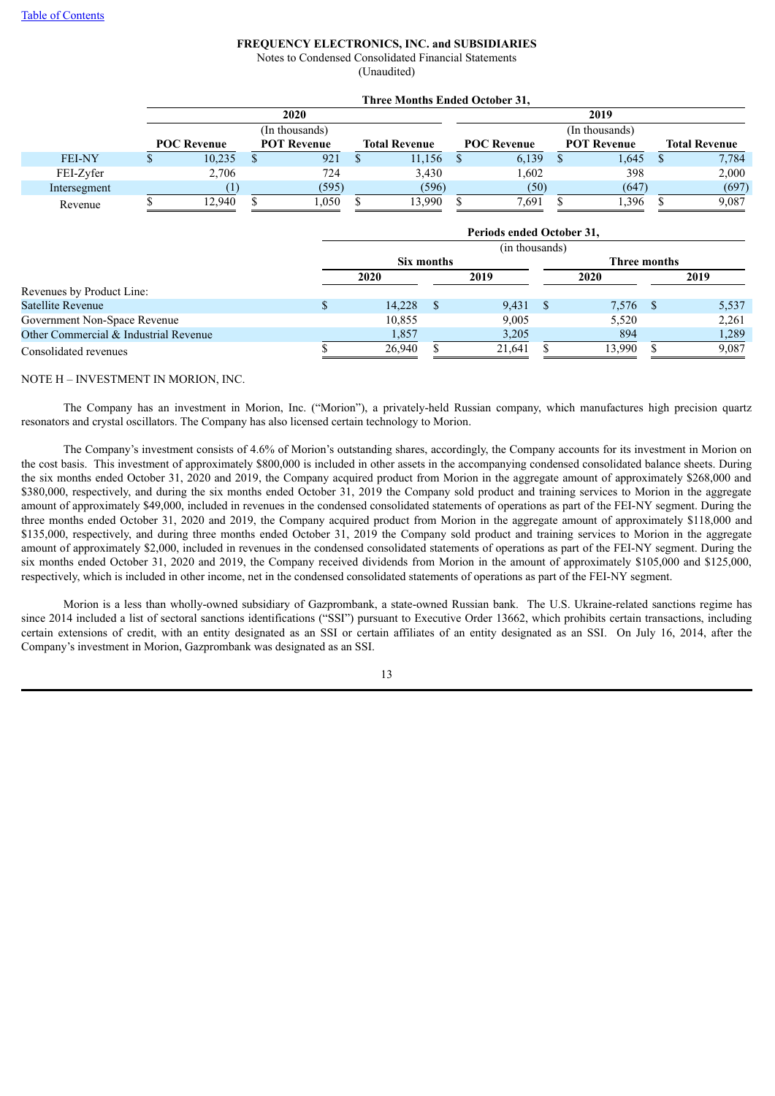Notes to Condensed Consolidated Financial Statements

(Unaudited)

|                           |    | Three Months Ended October 31, |    |                    |      |                      |      |                           |               |                     |   |                      |  |  |
|---------------------------|----|--------------------------------|----|--------------------|------|----------------------|------|---------------------------|---------------|---------------------|---|----------------------|--|--|
|                           |    |                                |    | 2020               |      |                      | 2019 |                           |               |                     |   |                      |  |  |
|                           |    |                                |    | (In thousands)     |      |                      |      |                           |               | (In thousands)      |   |                      |  |  |
|                           |    | <b>POC Revenue</b>             |    | <b>POT Revenue</b> |      | <b>Total Revenue</b> |      | <b>POC Revenue</b>        |               | <b>POT Revenue</b>  |   | <b>Total Revenue</b> |  |  |
| <b>FEI-NY</b>             | D. | 10,235                         | \$ | 921                | \$.  | 11,156               |      | 6,139                     | <sup>\$</sup> | 1,645               | S | 7,784                |  |  |
| FEI-Zyfer                 |    | 2,706                          |    | 724                |      | 3,430                |      | 1,602                     |               | 398                 |   | 2,000                |  |  |
| Intersegment              |    |                                |    | (595)              |      | (596)                |      | (50)                      |               | (647)               |   | (697)                |  |  |
| Revenue                   |    | 12,940                         |    | 1,050              |      | 13,990               |      | 7,691                     |               | 1,396               |   | 9,087                |  |  |
|                           |    |                                |    |                    |      |                      |      | Periods ended October 31, |               |                     |   |                      |  |  |
|                           |    |                                |    |                    |      |                      |      | (in thousands)            |               |                     |   |                      |  |  |
|                           |    |                                |    |                    |      | Six months           |      |                           |               | <b>Three months</b> |   |                      |  |  |
|                           |    |                                |    |                    | 2020 |                      | 2019 |                           |               | <b>2020</b>         |   | 2019                 |  |  |
| Revenues by Product Line: |    |                                |    |                    |      |                      |      |                           |               |                     |   |                      |  |  |

Satellite Revenue 6 14,228 \$ 9,431 \$ 7,576 \$ 5,537

| Government Non-Space Revenue          | 10.855 | 9,005 | 5.520  | 2.261 |
|---------------------------------------|--------|-------|--------|-------|
| Other Commercial & Industrial Revenue |        | 3.205 | 894    | .289  |
| Consolidated revenues                 | 26.940 | 64    | 13.990 | 9,087 |

#### NOTE H – INVESTMENT IN MORION, INC.

The Company has an investment in Morion, Inc. ("Morion"), a privately-held Russian company, which manufactures high precision quartz resonators and crystal oscillators. The Company has also licensed certain technology to Morion.

The Company's investment consists of 4.6% of Morion's outstanding shares, accordingly, the Company accounts for its investment in Morion on the cost basis. This investment of approximately \$800,000 is included in other assets in the accompanying condensed consolidated balance sheets. During the six months ended October 31, 2020 and 2019, the Company acquired product from Morion in the aggregate amount of approximately \$268,000 and \$380,000, respectively, and during the six months ended October 31, 2019 the Company sold product and training services to Morion in the aggregate amount of approximately \$49,000, included in revenues in the condensed consolidated statements of operations as part of the FEI-NY segment. During the three months ended October 31, 2020 and 2019, the Company acquired product from Morion in the aggregate amount of approximately \$118,000 and \$135,000, respectively, and during three months ended October 31, 2019 the Company sold product and training services to Morion in the aggregate amount of approximately \$2,000, included in revenues in the condensed consolidated statements of operations as part of the FEI-NY segment. During the six months ended October 31, 2020 and 2019, the Company received dividends from Morion in the amount of approximately \$105,000 and \$125,000, respectively, which is included in other income, net in the condensed consolidated statements of operations as part of the FEI-NY segment.

Morion is a less than wholly-owned subsidiary of Gazprombank, a state-owned Russian bank. The U.S. Ukraine-related sanctions regime has since 2014 included a list of sectoral sanctions identifications ("SSI") pursuant to Executive Order 13662, which prohibits certain transactions, including certain extensions of credit, with an entity designated as an SSI or certain affiliates of an entity designated as an SSI. On July 16, 2014, after the Company's investment in Morion, Gazprombank was designated as an SSI.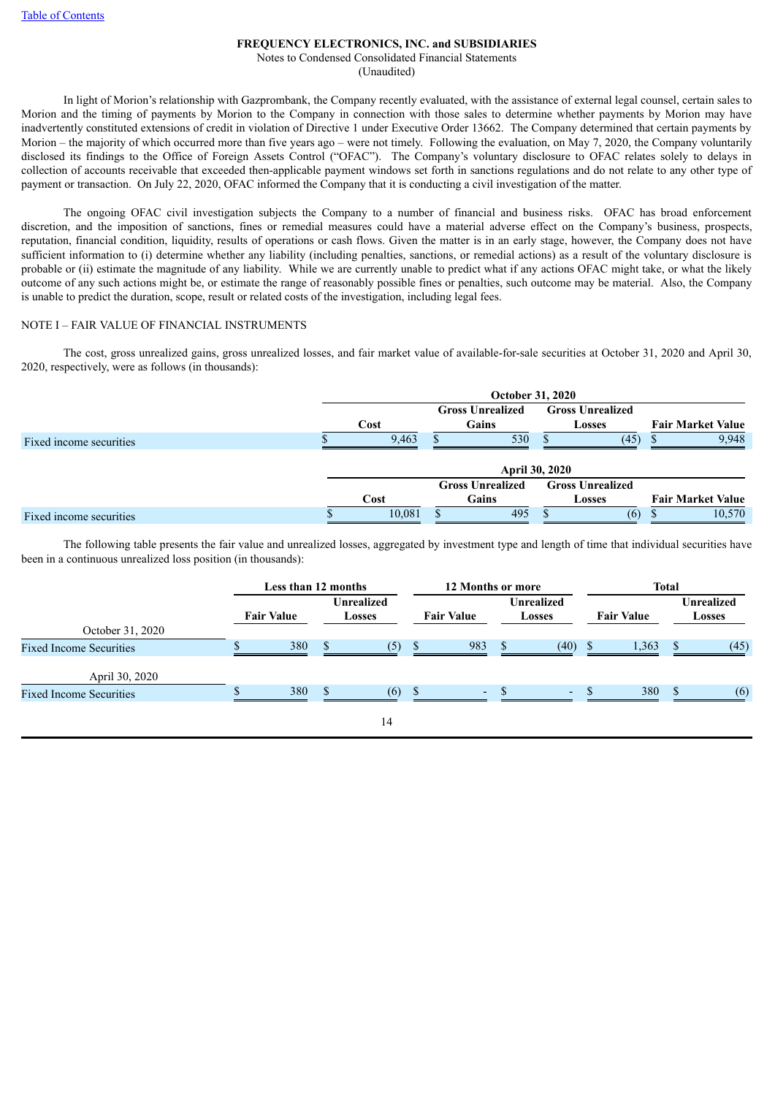Notes to Condensed Consolidated Financial Statements

(Unaudited)

In light of Morion's relationship with Gazprombank, the Company recently evaluated, with the assistance of external legal counsel, certain sales to Morion and the timing of payments by Morion to the Company in connection with those sales to determine whether payments by Morion may have inadvertently constituted extensions of credit in violation of Directive 1 under Executive Order 13662. The Company determined that certain payments by Morion – the majority of which occurred more than five years ago – were not timely. Following the evaluation, on May 7, 2020, the Company voluntarily disclosed its findings to the Office of Foreign Assets Control ("OFAC"). The Company's voluntary disclosure to OFAC relates solely to delays in collection of accounts receivable that exceeded then-applicable payment windows set forth in sanctions regulations and do not relate to any other type of payment or transaction. On July 22, 2020, OFAC informed the Company that it is conducting a civil investigation of the matter.

The ongoing OFAC civil investigation subjects the Company to a number of financial and business risks. OFAC has broad enforcement discretion, and the imposition of sanctions, fines or remedial measures could have a material adverse effect on the Company's business, prospects, reputation, financial condition, liquidity, results of operations or cash flows. Given the matter is in an early stage, however, the Company does not have sufficient information to (i) determine whether any liability (including penalties, sanctions, or remedial actions) as a result of the voluntary disclosure is probable or (ii) estimate the magnitude of any liability. While we are currently unable to predict what if any actions OFAC might take, or what the likely outcome of any such actions might be, or estimate the range of reasonably possible fines or penalties, such outcome may be material. Also, the Company is unable to predict the duration, scope, result or related costs of the investigation, including legal fees.

#### NOTE I – FAIR VALUE OF FINANCIAL INSTRUMENTS

The cost, gross unrealized gains, gross unrealized losses, and fair market value of available-for-sale securities at October 31, 2020 and April 30, 2020, respectively, were as follows (in thousands):

|                         |      | <b>Gross Unrealized</b> | <b>Gross Unrealized</b> |                          |
|-------------------------|------|-------------------------|-------------------------|--------------------------|
|                         | Cost | <b>Gains</b>            | <b>Losses</b>           | <b>Fair Market Value</b> |
| Fixed income securities |      | 9.463<br>530            | (45)                    | 9,948                    |
|                         |      |                         | <b>April 30, 2020</b>   |                          |
|                         |      | <b>Gross Unrealized</b> | <b>Gross Unrealized</b> |                          |
|                         | Cost | Gains                   | <b>Losses</b>           | <b>Fair Market Value</b> |
| Fixed income securities |      | 10,081<br>495           | (6)                     | 10,570                   |

The following table presents the fair value and unrealized losses, aggregated by investment type and length of time that individual securities have been in a continuous unrealized loss position (in thousands):

|                                | Less than 12 months |     |  |                   |  | 12 Months or more        |  |            | <b>Total</b>      |       |               |                   |  |
|--------------------------------|---------------------|-----|--|-------------------|--|--------------------------|--|------------|-------------------|-------|---------------|-------------------|--|
|                                |                     |     |  | <b>Unrealized</b> |  |                          |  | Unrealized |                   |       |               | <b>Unrealized</b> |  |
|                                | <b>Fair Value</b>   |     |  | Losses            |  | <b>Fair Value</b>        |  | Losses     | <b>Fair Value</b> |       | <b>Losses</b> |                   |  |
| October 31, 2020               |                     |     |  |                   |  |                          |  |            |                   |       |               |                   |  |
| <b>Fixed Income Securities</b> |                     | 380 |  | (5)               |  | 983                      |  | (40)       |                   | 1,363 |               | (45)              |  |
| April 30, 2020                 |                     |     |  |                   |  |                          |  |            |                   |       |               |                   |  |
| <b>Fixed Income Securities</b> |                     | 380 |  | (6)               |  | $\overline{\phantom{a}}$ |  | $\sim$     |                   | 380   |               | (6)               |  |
|                                |                     |     |  | 14                |  |                          |  |            |                   |       |               |                   |  |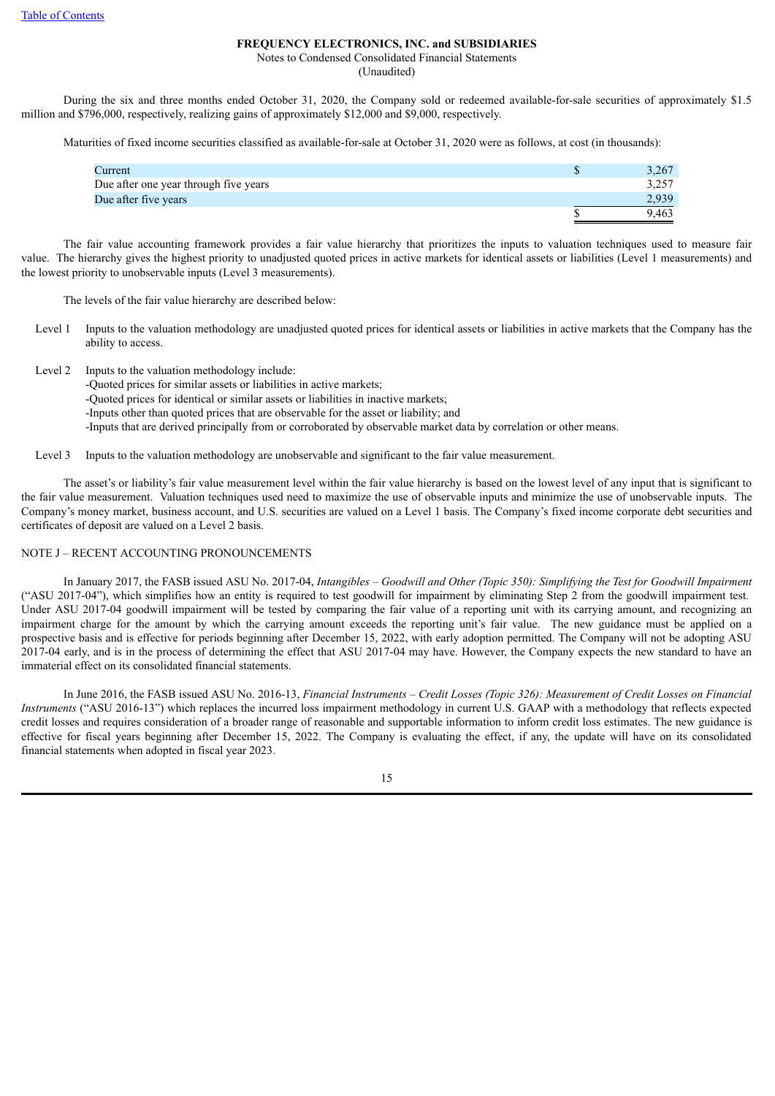Notes to Condensed Consolidated Financial Statements

(Unaudited)

During the six and three months ended October 31, 2020, the Company sold or redeemed available-for-sale securities of approximately \$1.5 million and \$796,000, respectively, realizing gains of approximately \$12,000 and \$9,000, respectively.

Maturities of fixed income securities classified as available-for-sale at October 31, 2020 were as follows, at cost (in thousands):

| Current                               | 3,267 |
|---------------------------------------|-------|
| Due after one year through five years | 3,257 |
| Due after five years                  | 2,939 |
|                                       | 9.463 |

The fair value accounting framework provides a fair value hierarchy that prioritizes the inputs to valuation techniques used to measure fair value. The hierarchy gives the highest priority to unadjusted quoted prices in active markets for identical assets or liabilities (Level 1 measurements) and the lowest priority to unobservable inputs (Level 3 measurements).

The levels of the fair value hierarchy are described below:

- Level 1 Inputs to the valuation methodology are unadjusted quoted prices for identical assets or liabilities in active markets that the Company has the ability to access.
- Level 2 Inputs to the valuation methodology include:
	- -Quoted prices for similar assets or liabilities in active markets;
		- -Quoted prices for identical or similar assets or liabilities in inactive markets;
		- -Inputs other than quoted prices that are observable for the asset or liability; and
		- -Inputs that are derived principally from or corroborated by observable market data by correlation or other means.
- Level 3 Inputs to the valuation methodology are unobservable and significant to the fair value measurement.

The asset's or liability's fair value measurement level within the fair value hierarchy is based on the lowest level of any input that is significant to the fair value measurement. Valuation techniques used need to maximize the use of observable inputs and minimize the use of unobservable inputs. The Company's money market, business account, and U.S. securities are valued on a Level 1 basis. The Company's fixed income corporate debt securities and certificates of deposit are valued on a Level 2 basis.

## NOTE J – RECENT ACCOUNTING PRONOUNCEMENTS

In January 2017, the FASB issued ASU No. 2017-04, Intangibles - Goodwill and Other (Topic 350): Simplifying the Test for Goodwill Impairment ("ASU 2017-04"), which simplifies how an entity is required to test goodwill for impairment by eliminating Step 2 from the goodwill impairment test. Under ASU 2017-04 goodwill impairment will be tested by comparing the fair value of a reporting unit with its carrying amount, and recognizing an impairment charge for the amount by which the carrying amount exceeds the reporting unit's fair value. The new guidance must be applied on a prospective basis and is effective for periods beginning after December 15, 2022, with early adoption permitted. The Company will not be adopting ASU 2017-04 early, and is in the process of determining the effect that ASU 2017-04 may have. However, the Company expects the new standard to have an immaterial effect on its consolidated financial statements.

In June 2016, the FASB issued ASU No. 2016-13, Financial Instruments - Credit Losses (Topic 326): Measurement of Credit Losses on Financial *Instruments* ("ASU 2016-13") which replaces the incurred loss impairment methodology in current U.S. GAAP with a methodology that reflects expected credit losses and requires consideration of a broader range of reasonable and supportable information to inform credit loss estimates. The new guidance is effective for fiscal years beginning after December 15, 2022. The Company is evaluating the effect, if any, the update will have on its consolidated financial statements when adopted in fiscal year 2023.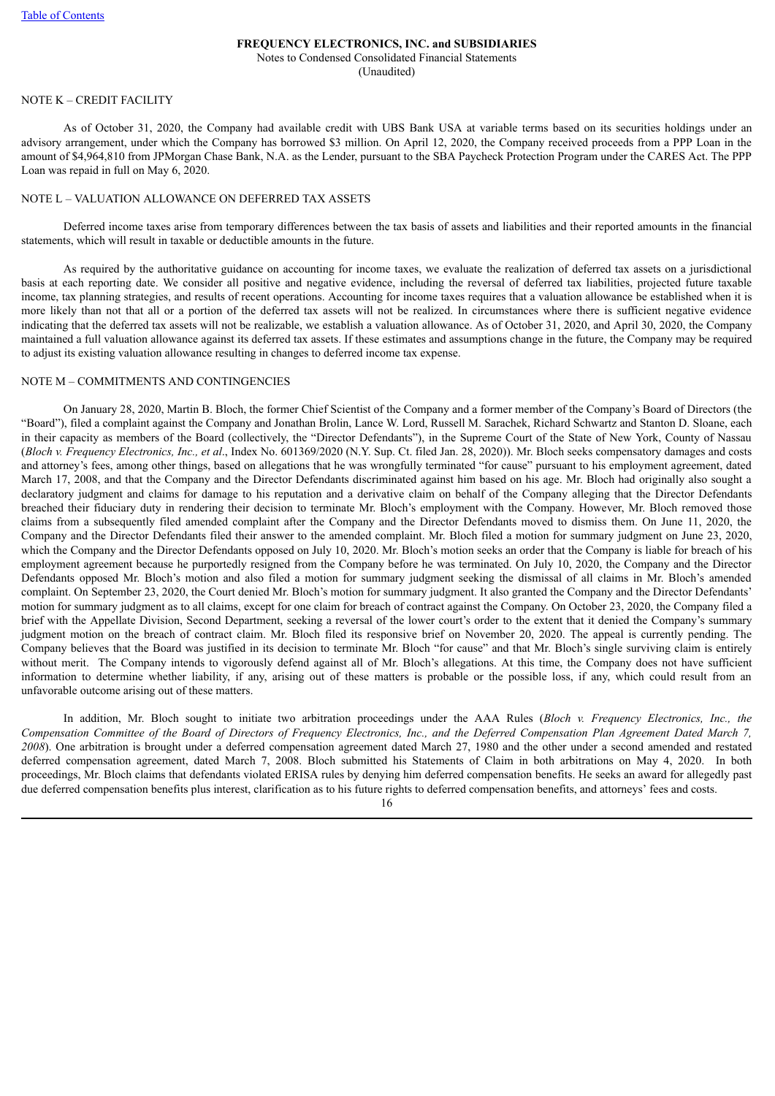## **FREQUENCY ELECTRONICS, INC. and SUBSIDIARIES** Notes to Condensed Consolidated Financial Statements (Unaudited)

#### NOTE K – CREDIT FACILITY

As of October 31, 2020, the Company had available credit with UBS Bank USA at variable terms based on its securities holdings under an advisory arrangement, under which the Company has borrowed \$3 million. On April 12, 2020, the Company received proceeds from a PPP Loan in the amount of \$4,964,810 from JPMorgan Chase Bank, N.A. as the Lender, pursuant to the SBA Paycheck Protection Program under the CARES Act. The PPP Loan was repaid in full on May 6, 2020.

## NOTE L – VALUATION ALLOWANCE ON DEFERRED TAX ASSETS

Deferred income taxes arise from temporary differences between the tax basis of assets and liabilities and their reported amounts in the financial statements, which will result in taxable or deductible amounts in the future.

As required by the authoritative guidance on accounting for income taxes, we evaluate the realization of deferred tax assets on a jurisdictional basis at each reporting date. We consider all positive and negative evidence, including the reversal of deferred tax liabilities, projected future taxable income, tax planning strategies, and results of recent operations. Accounting for income taxes requires that a valuation allowance be established when it is more likely than not that all or a portion of the deferred tax assets will not be realized. In circumstances where there is sufficient negative evidence indicating that the deferred tax assets will not be realizable, we establish a valuation allowance. As of October 31, 2020, and April 30, 2020, the Company maintained a full valuation allowance against its deferred tax assets. If these estimates and assumptions change in the future, the Company may be required to adjust its existing valuation allowance resulting in changes to deferred income tax expense.

## NOTE M – COMMITMENTS AND CONTINGENCIES

On January 28, 2020, Martin B. Bloch, the former Chief Scientist of the Company and a former member of the Company's Board of Directors (the "Board"), filed a complaint against the Company and Jonathan Brolin, Lance W. Lord, Russell M. Sarachek, Richard Schwartz and Stanton D. Sloane, each in their capacity as members of the Board (collectively, the "Director Defendants"), in the Supreme Court of the State of New York, County of Nassau (*Bloch v. Frequency Electronics, Inc., et al*., Index No. 601369/2020 (N.Y. Sup. Ct. filed Jan. 28, 2020)). Mr. Bloch seeks compensatory damages and costs and attorney's fees, among other things, based on allegations that he was wrongfully terminated "for cause" pursuant to his employment agreement, dated March 17, 2008, and that the Company and the Director Defendants discriminated against him based on his age. Mr. Bloch had originally also sought a declaratory judgment and claims for damage to his reputation and a derivative claim on behalf of the Company alleging that the Director Defendants breached their fiduciary duty in rendering their decision to terminate Mr. Bloch's employment with the Company. However, Mr. Bloch removed those claims from a subsequently filed amended complaint after the Company and the Director Defendants moved to dismiss them. On June 11, 2020, the Company and the Director Defendants filed their answer to the amended complaint. Mr. Bloch filed a motion for summary judgment on June 23, 2020, which the Company and the Director Defendants opposed on July 10, 2020. Mr. Bloch's motion seeks an order that the Company is liable for breach of his employment agreement because he purportedly resigned from the Company before he was terminated. On July 10, 2020, the Company and the Director Defendants opposed Mr. Bloch's motion and also filed a motion for summary judgment seeking the dismissal of all claims in Mr. Bloch's amended complaint. On September 23, 2020, the Court denied Mr. Bloch's motion for summary judgment. It also granted the Company and the Director Defendants' motion for summary judgment as to all claims, except for one claim for breach of contract against the Company. On October 23, 2020, the Company filed a brief with the Appellate Division, Second Department, seeking a reversal of the lower court's order to the extent that it denied the Company's summary judgment motion on the breach of contract claim. Mr. Bloch filed its responsive brief on November 20, 2020. The appeal is currently pending. The Company believes that the Board was justified in its decision to terminate Mr. Bloch "for cause" and that Mr. Bloch's single surviving claim is entirely without merit. The Company intends to vigorously defend against all of Mr. Bloch's allegations. At this time, the Company does not have sufficient information to determine whether liability, if any, arising out of these matters is probable or the possible loss, if any, which could result from an unfavorable outcome arising out of these matters.

In addition, Mr. Bloch sought to initiate two arbitration proceedings under the AAA Rules (*Bloch v. Frequency Electronics, Inc., the* Compensation Committee of the Board of Directors of Frequency Electronics, Inc., and the Deferred Compensation Plan Agreement Dated March 7, *2008*). One arbitration is brought under a deferred compensation agreement dated March 27, 1980 and the other under a second amended and restated deferred compensation agreement, dated March 7, 2008. Bloch submitted his Statements of Claim in both arbitrations on May 4, 2020. In both proceedings, Mr. Bloch claims that defendants violated ERISA rules by denying him deferred compensation benefits. He seeks an award for allegedly past due deferred compensation benefits plus interest, clarification as to his future rights to deferred compensation benefits, and attorneys' fees and costs.

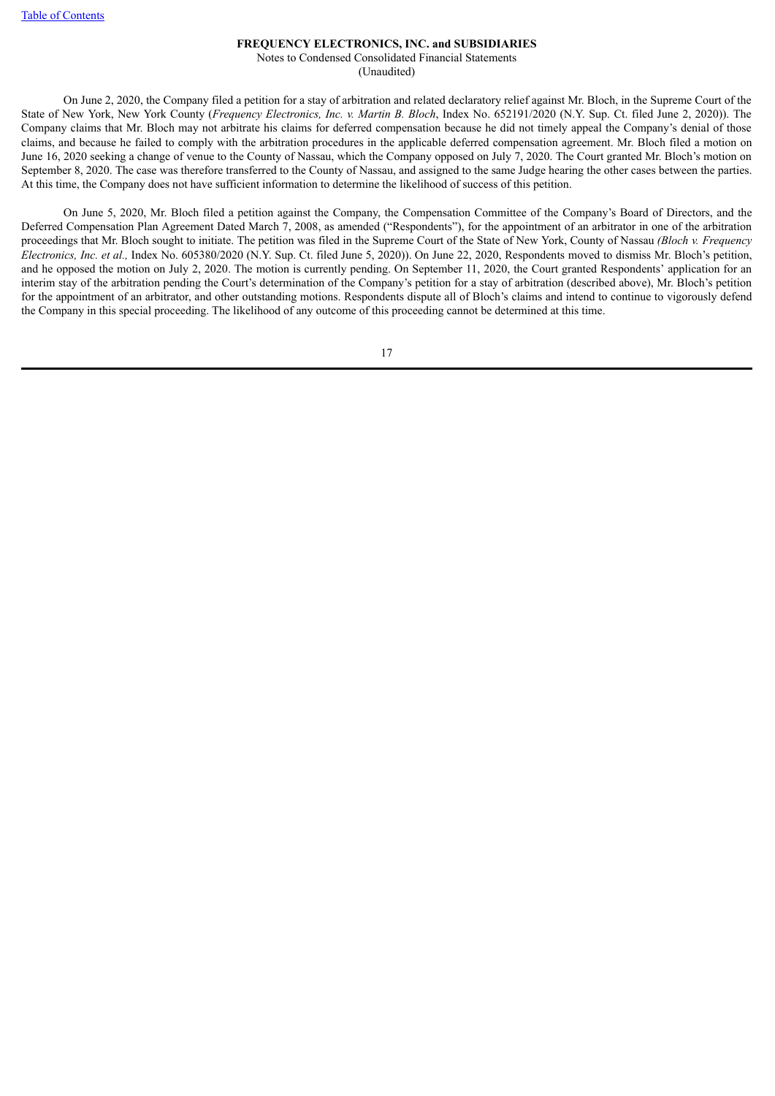Notes to Condensed Consolidated Financial Statements

(Unaudited)

On June 2, 2020, the Company filed a petition for a stay of arbitration and related declaratory relief against Mr. Bloch, in the Supreme Court of the State of New York, New York County (*Frequency Electronics, Inc. v. Martin B. Bloch*, Index No. 652191/2020 (N.Y. Sup. Ct. filed June 2, 2020)). The Company claims that Mr. Bloch may not arbitrate his claims for deferred compensation because he did not timely appeal the Company's denial of those claims, and because he failed to comply with the arbitration procedures in the applicable deferred compensation agreement. Mr. Bloch filed a motion on June 16, 2020 seeking a change of venue to the County of Nassau, which the Company opposed on July 7, 2020. The Court granted Mr. Bloch's motion on September 8, 2020. The case was therefore transferred to the County of Nassau, and assigned to the same Judge hearing the other cases between the parties. At this time, the Company does not have sufficient information to determine the likelihood of success of this petition.

On June 5, 2020, Mr. Bloch filed a petition against the Company, the Compensation Committee of the Company's Board of Directors, and the Deferred Compensation Plan Agreement Dated March 7, 2008, as amended ("Respondents"), for the appointment of an arbitrator in one of the arbitration proceedings that Mr. Bloch sought to initiate. The petition was filed in the Supreme Court of the State of New York, County of Nassau *(Bloch v. Frequency Electronics, Inc. et al.,* Index No. 605380/2020 (N.Y. Sup. Ct. filed June 5, 2020)). On June 22, 2020, Respondents moved to dismiss Mr. Bloch's petition, and he opposed the motion on July 2, 2020. The motion is currently pending. On September 11, 2020, the Court granted Respondents' application for an interim stay of the arbitration pending the Court's determination of the Company's petition for a stay of arbitration (described above), Mr. Bloch's petition for the appointment of an arbitrator, and other outstanding motions. Respondents dispute all of Bloch's claims and intend to continue to vigorously defend the Company in this special proceeding. The likelihood of any outcome of this proceeding cannot be determined at this time.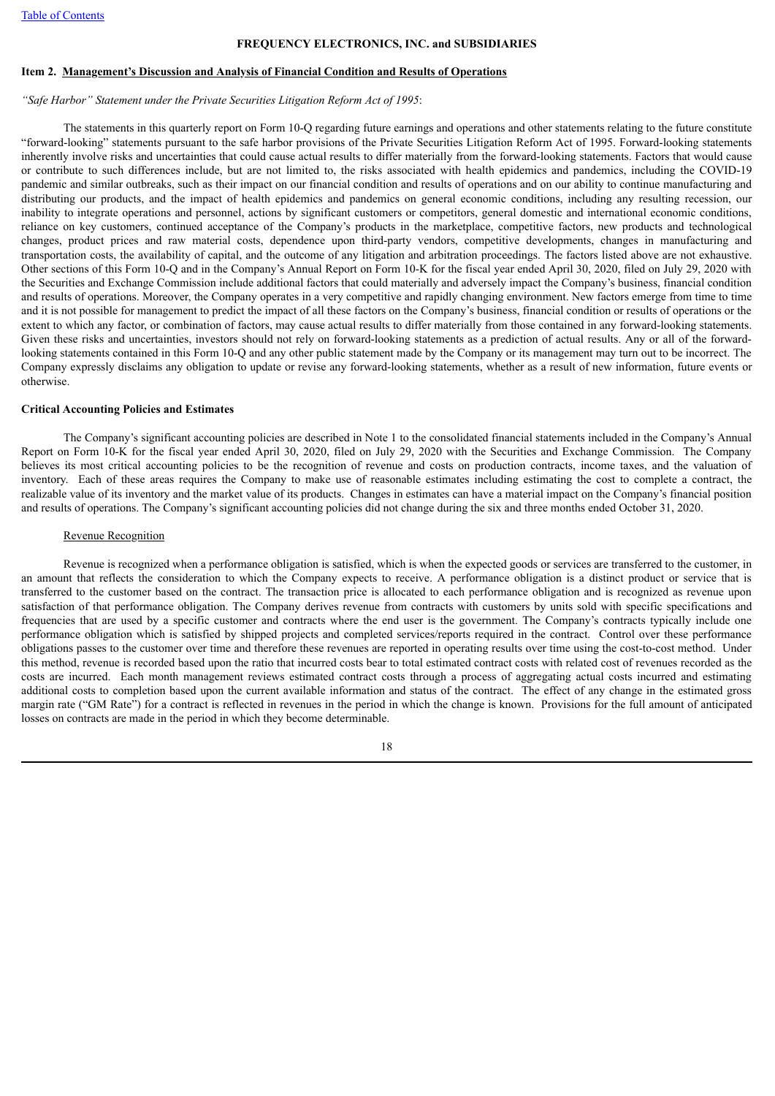#### <span id="page-17-0"></span>**Item 2. Management's Discussion and Analysis of Financial Condition and Results of Operations**

#### *"Safe Harbor" Statement under the Private Securities Litigation Reform Act of 1995*:

The statements in this quarterly report on Form 10-Q regarding future earnings and operations and other statements relating to the future constitute "forward-looking" statements pursuant to the safe harbor provisions of the Private Securities Litigation Reform Act of 1995. Forward-looking statements inherently involve risks and uncertainties that could cause actual results to differ materially from the forward-looking statements. Factors that would cause or contribute to such differences include, but are not limited to, the risks associated with health epidemics and pandemics, including the COVID-19 pandemic and similar outbreaks, such as their impact on our financial condition and results of operations and on our ability to continue manufacturing and distributing our products, and the impact of health epidemics and pandemics on general economic conditions, including any resulting recession, our inability to integrate operations and personnel, actions by significant customers or competitors, general domestic and international economic conditions, reliance on key customers, continued acceptance of the Company's products in the marketplace, competitive factors, new products and technological changes, product prices and raw material costs, dependence upon third-party vendors, competitive developments, changes in manufacturing and transportation costs, the availability of capital, and the outcome of any litigation and arbitration proceedings. The factors listed above are not exhaustive. Other sections of this Form 10-Q and in the Company's Annual Report on Form 10-K for the fiscal year ended April 30, 2020, filed on July 29, 2020 with the Securities and Exchange Commission include additional factors that could materially and adversely impact the Company's business, financial condition and results of operations. Moreover, the Company operates in a very competitive and rapidly changing environment. New factors emerge from time to time and it is not possible for management to predict the impact of all these factors on the Company's business, financial condition or results of operations or the extent to which any factor, or combination of factors, may cause actual results to differ materially from those contained in any forward-looking statements. Given these risks and uncertainties, investors should not rely on forward-looking statements as a prediction of actual results. Any or all of the forwardlooking statements contained in this Form 10-Q and any other public statement made by the Company or its management may turn out to be incorrect. The Company expressly disclaims any obligation to update or revise any forward-looking statements, whether as a result of new information, future events or otherwise.

#### **Critical Accounting Policies and Estimates**

The Company's significant accounting policies are described in Note 1 to the consolidated financial statements included in the Company's Annual Report on Form 10-K for the fiscal year ended April 30, 2020, filed on July 29, 2020 with the Securities and Exchange Commission. The Company believes its most critical accounting policies to be the recognition of revenue and costs on production contracts, income taxes, and the valuation of inventory. Each of these areas requires the Company to make use of reasonable estimates including estimating the cost to complete a contract, the realizable value of its inventory and the market value of its products. Changes in estimates can have a material impact on the Company's financial position and results of operations. The Company's significant accounting policies did not change during the six and three months ended October 31, 2020.

#### Revenue Recognition

Revenue is recognized when a performance obligation is satisfied, which is when the expected goods or services are transferred to the customer, in an amount that reflects the consideration to which the Company expects to receive. A performance obligation is a distinct product or service that is transferred to the customer based on the contract. The transaction price is allocated to each performance obligation and is recognized as revenue upon satisfaction of that performance obligation. The Company derives revenue from contracts with customers by units sold with specific specifications and frequencies that are used by a specific customer and contracts where the end user is the government. The Company's contracts typically include one performance obligation which is satisfied by shipped projects and completed services/reports required in the contract. Control over these performance obligations passes to the customer over time and therefore these revenues are reported in operating results over time using the cost-to-cost method. Under this method, revenue is recorded based upon the ratio that incurred costs bear to total estimated contract costs with related cost of revenues recorded as the costs are incurred. Each month management reviews estimated contract costs through a process of aggregating actual costs incurred and estimating additional costs to completion based upon the current available information and status of the contract. The effect of any change in the estimated gross margin rate ("GM Rate") for a contract is reflected in revenues in the period in which the change is known. Provisions for the full amount of anticipated losses on contracts are made in the period in which they become determinable.

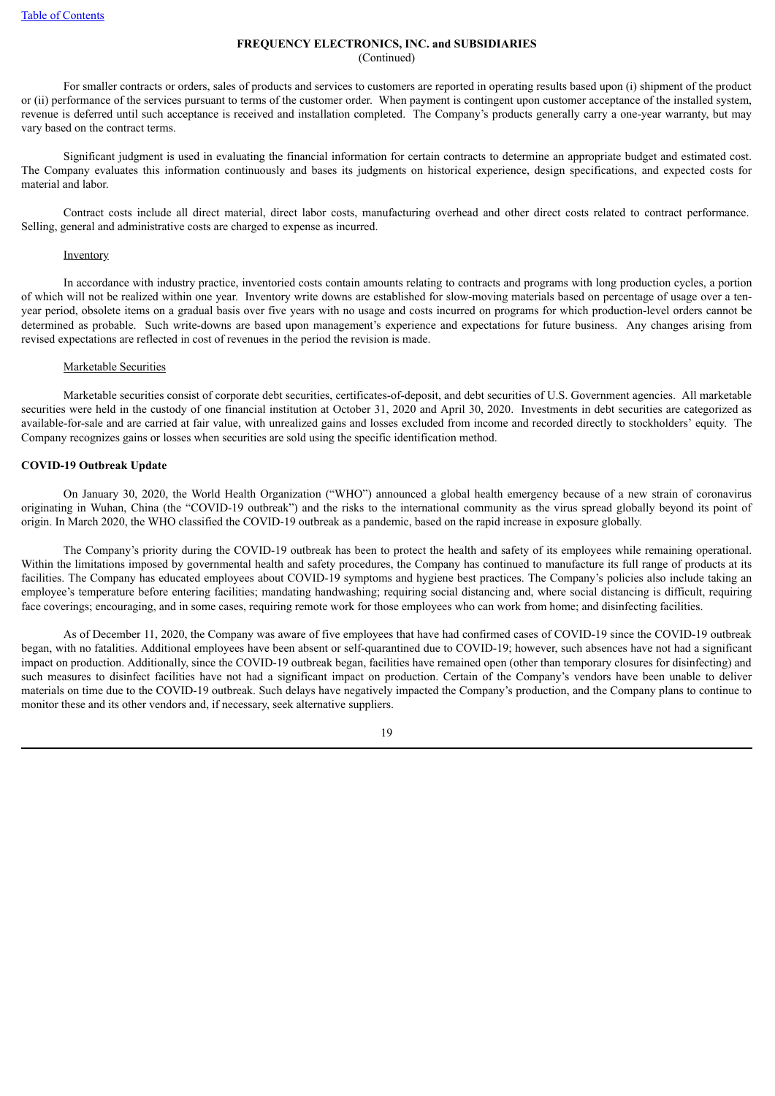For smaller contracts or orders, sales of products and services to customers are reported in operating results based upon (i) shipment of the product or (ii) performance of the services pursuant to terms of the customer order. When payment is contingent upon customer acceptance of the installed system, revenue is deferred until such acceptance is received and installation completed. The Company's products generally carry a one-year warranty, but may vary based on the contract terms.

Significant judgment is used in evaluating the financial information for certain contracts to determine an appropriate budget and estimated cost. The Company evaluates this information continuously and bases its judgments on historical experience, design specifications, and expected costs for material and labor.

Contract costs include all direct material, direct labor costs, manufacturing overhead and other direct costs related to contract performance. Selling, general and administrative costs are charged to expense as incurred.

#### Inventory

In accordance with industry practice, inventoried costs contain amounts relating to contracts and programs with long production cycles, a portion of which will not be realized within one year. Inventory write downs are established for slow-moving materials based on percentage of usage over a tenyear period, obsolete items on a gradual basis over five years with no usage and costs incurred on programs for which production-level orders cannot be determined as probable. Such write-downs are based upon management's experience and expectations for future business. Any changes arising from revised expectations are reflected in cost of revenues in the period the revision is made.

#### Marketable Securities

Marketable securities consist of corporate debt securities, certificates-of-deposit, and debt securities of U.S. Government agencies. All marketable securities were held in the custody of one financial institution at October 31, 2020 and April 30, 2020. Investments in debt securities are categorized as available-for-sale and are carried at fair value, with unrealized gains and losses excluded from income and recorded directly to stockholders' equity. The Company recognizes gains or losses when securities are sold using the specific identification method.

#### **COVID-19 Outbreak Update**

On January 30, 2020, the World Health Organization ("WHO") announced a global health emergency because of a new strain of coronavirus originating in Wuhan, China (the "COVID-19 outbreak") and the risks to the international community as the virus spread globally beyond its point of origin. In March 2020, the WHO classified the COVID-19 outbreak as a pandemic, based on the rapid increase in exposure globally.

The Company's priority during the COVID-19 outbreak has been to protect the health and safety of its employees while remaining operational. Within the limitations imposed by governmental health and safety procedures, the Company has continued to manufacture its full range of products at its facilities. The Company has educated employees about COVID-19 symptoms and hygiene best practices. The Company's policies also include taking an employee's temperature before entering facilities; mandating handwashing; requiring social distancing and, where social distancing is difficult, requiring face coverings; encouraging, and in some cases, requiring remote work for those employees who can work from home; and disinfecting facilities.

As of December 11, 2020, the Company was aware of five employees that have had confirmed cases of COVID-19 since the COVID-19 outbreak began, with no fatalities. Additional employees have been absent or self-quarantined due to COVID-19; however, such absences have not had a significant impact on production. Additionally, since the COVID-19 outbreak began, facilities have remained open (other than temporary closures for disinfecting) and such measures to disinfect facilities have not had a significant impact on production. Certain of the Company's vendors have been unable to deliver materials on time due to the COVID-19 outbreak. Such delays have negatively impacted the Company's production, and the Company plans to continue to monitor these and its other vendors and, if necessary, seek alternative suppliers.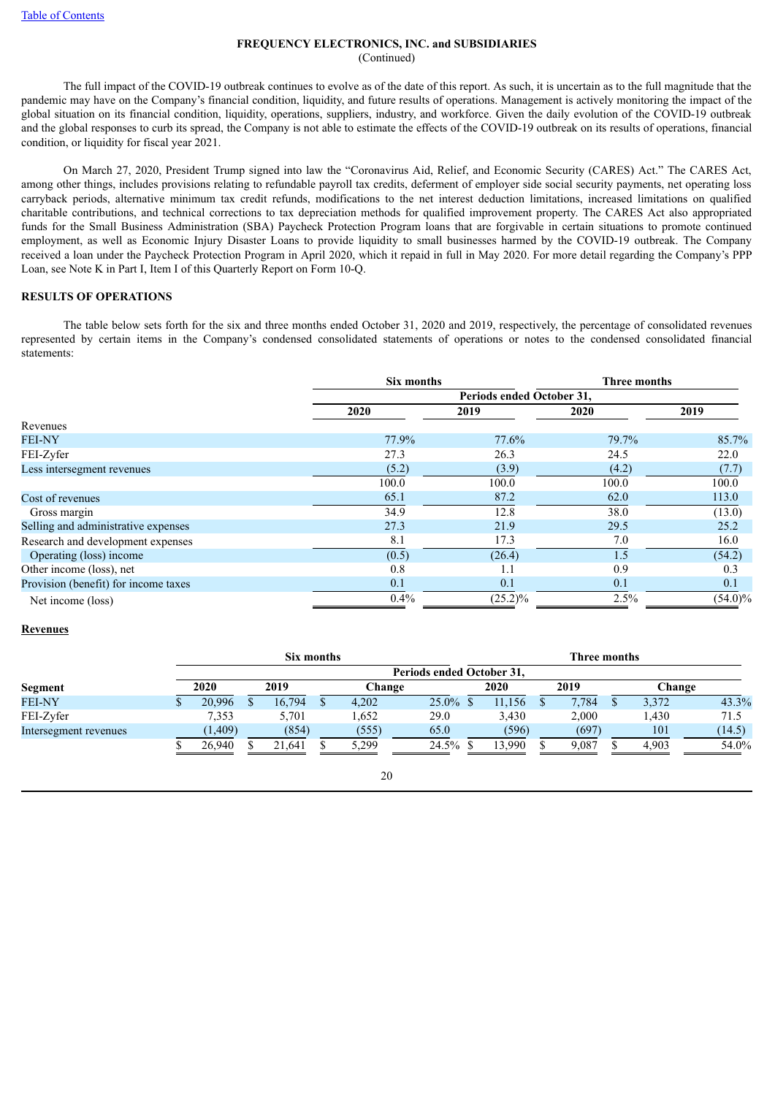The full impact of the COVID-19 outbreak continues to evolve as of the date of this report. As such, it is uncertain as to the full magnitude that the pandemic may have on the Company's financial condition, liquidity, and future results of operations. Management is actively monitoring the impact of the global situation on its financial condition, liquidity, operations, suppliers, industry, and workforce. Given the daily evolution of the COVID-19 outbreak and the global responses to curb its spread, the Company is not able to estimate the effects of the COVID-19 outbreak on its results of operations, financial condition, or liquidity for fiscal year 2021.

On March 27, 2020, President Trump signed into law the "Coronavirus Aid, Relief, and Economic Security (CARES) Act." The CARES Act, among other things, includes provisions relating to refundable payroll tax credits, deferment of employer side social security payments, net operating loss carryback periods, alternative minimum tax credit refunds, modifications to the net interest deduction limitations, increased limitations on qualified charitable contributions, and technical corrections to tax depreciation methods for qualified improvement property. The CARES Act also appropriated funds for the Small Business Administration (SBA) Paycheck Protection Program loans that are forgivable in certain situations to promote continued employment, as well as Economic Injury Disaster Loans to provide liquidity to small businesses harmed by the COVID-19 outbreak. The Company received a loan under the Paycheck Protection Program in April 2020, which it repaid in full in May 2020. For more detail regarding the Company's PPP Loan, see Note K in Part I, Item I of this Quarterly Report on Form 10-Q.

## **RESULTS OF OPERATIONS**

The table below sets forth for the six and three months ended October 31, 2020 and 2019, respectively, the percentage of consolidated revenues represented by certain items in the Company's condensed consolidated statements of operations or notes to the condensed consolidated financial statements:

|                                      |         | Six months<br>Three months |       |            |  |  |  |  |  |
|--------------------------------------|---------|----------------------------|-------|------------|--|--|--|--|--|
|                                      |         | Periods ended October 31,  |       |            |  |  |  |  |  |
|                                      | 2020    | 2019                       | 2020  | 2019       |  |  |  |  |  |
| Revenues                             |         |                            |       |            |  |  |  |  |  |
| <b>FEI-NY</b>                        | 77.9%   | 77.6%                      | 79.7% | 85.7%      |  |  |  |  |  |
| FEI-Zyfer                            | 27.3    | 26.3                       | 24.5  | 22.0       |  |  |  |  |  |
| Less intersegment revenues           | (5.2)   | (3.9)                      | (4.2) | (7.7)      |  |  |  |  |  |
|                                      | 100.0   | 100.0                      | 100.0 | 100.0      |  |  |  |  |  |
| Cost of revenues                     | 65.1    | 87.2                       | 62.0  | 113.0      |  |  |  |  |  |
| Gross margin                         | 34.9    | 12.8                       | 38.0  | (13.0)     |  |  |  |  |  |
| Selling and administrative expenses  | 27.3    | 21.9                       | 29.5  | 25.2       |  |  |  |  |  |
| Research and development expenses    | 8.1     | 17.3                       | 7.0   | 16.0       |  |  |  |  |  |
| Operating (loss) income              | (0.5)   | (26.4)                     | 1.5   | (54.2)     |  |  |  |  |  |
| Other income (loss), net             | 0.8     | 1.1                        | 0.9   | 0.3        |  |  |  |  |  |
| Provision (benefit) for income taxes | 0.1     | 0.1                        | 0.1   | 0.1        |  |  |  |  |  |
| Net income (loss)                    | $0.4\%$ | $(25.2)\%$                 | 2.5%  | $(54.0)\%$ |  |  |  |  |  |

## **Revenues**

|                       |                           |  | Six months |  |        |  |             | Three months |        |      |       |        |       |        |  |  |  |
|-----------------------|---------------------------|--|------------|--|--------|--|-------------|--------------|--------|------|-------|--------|-------|--------|--|--|--|
|                       | Periods ended October 31, |  |            |  |        |  |             |              |        |      |       |        |       |        |  |  |  |
| <b>Segment</b>        | 2020                      |  | 2019       |  | Change |  | 2020        |              |        | 2019 |       | Change |       |        |  |  |  |
| FEI-NY                | 20,996                    |  | 16,794     |  | 4,202  |  | $25.0\%$ \$ |              | 11,156 |      | 7.784 |        | 3,372 | 43.3%  |  |  |  |
| FEI-Zyfer             | 7,353                     |  | 5,701      |  | 1,652  |  | 29.0        |              | 3,430  |      | 2,000 |        | 1,430 | 71.5   |  |  |  |
| Intersegment revenues | (1, 409)                  |  | (854)      |  | (555)  |  | 65.0        |              | (596)  |      | (697) |        | 101   | (14.5) |  |  |  |
|                       | 26,940                    |  | 21.641     |  | 5.299  |  | 24.5%       |              | 13.990 |      | 9.087 |        | 4,903 | 54.0%  |  |  |  |
|                       |                           |  |            |  |        |  |             |              |        |      |       |        |       |        |  |  |  |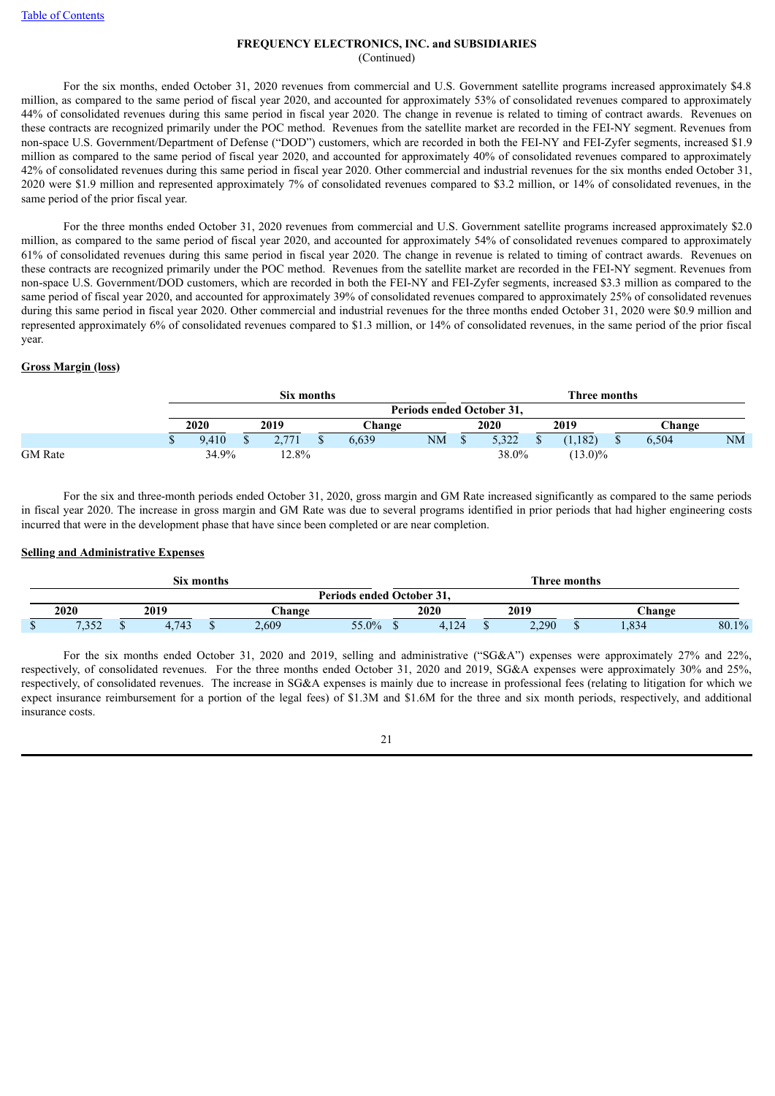For the six months, ended October 31, 2020 revenues from commercial and U.S. Government satellite programs increased approximately \$4.8 million, as compared to the same period of fiscal year 2020, and accounted for approximately 53% of consolidated revenues compared to approximately 44% of consolidated revenues during this same period in fiscal year 2020. The change in revenue is related to timing of contract awards. Revenues on these contracts are recognized primarily under the POC method. Revenues from the satellite market are recorded in the FEI-NY segment. Revenues from non-space U.S. Government/Department of Defense ("DOD") customers, which are recorded in both the FEI-NY and FEI-Zyfer segments, increased \$1.9 million as compared to the same period of fiscal year 2020, and accounted for approximately 40% of consolidated revenues compared to approximately 42% of consolidated revenues during this same period in fiscal year 2020. Other commercial and industrial revenues for the six months ended October 31, 2020 were \$1.9 million and represented approximately 7% of consolidated revenues compared to \$3.2 million, or 14% of consolidated revenues, in the same period of the prior fiscal year.

For the three months ended October 31, 2020 revenues from commercial and U.S. Government satellite programs increased approximately \$2.0 million, as compared to the same period of fiscal year 2020, and accounted for approximately 54% of consolidated revenues compared to approximately 61% of consolidated revenues during this same period in fiscal year 2020. The change in revenue is related to timing of contract awards. Revenues on these contracts are recognized primarily under the POC method. Revenues from the satellite market are recorded in the FEI-NY segment. Revenues from non-space U.S. Government/DOD customers, which are recorded in both the FEI-NY and FEI-Zyfer segments, increased \$3.3 million as compared to the same period of fiscal year 2020, and accounted for approximately 39% of consolidated revenues compared to approximately 25% of consolidated revenues during this same period in fiscal year 2020. Other commercial and industrial revenues for the three months ended October 31, 2020 were \$0.9 million and represented approximately 6% of consolidated revenues compared to \$1.3 million, or 14% of consolidated revenues, in the same period of the prior fiscal year.

#### **Gross Margin (loss)**

|                |                           |  | Six months           |  |               |           | Three months |       |  |            |  |               |    |  |
|----------------|---------------------------|--|----------------------|--|---------------|-----------|--------------|-------|--|------------|--|---------------|----|--|
|                | Periods ended October 31, |  |                      |  |               |           |              |       |  |            |  |               |    |  |
|                | 2020                      |  | 2019                 |  | <b>Change</b> |           |              | 2020  |  | 2019       |  | <b>Change</b> |    |  |
|                | 9.410                     |  | $\sim$ $\sim$ $\sim$ |  | 6.639         | <b>NM</b> |              | 5.322 |  | 1,182)     |  | 6.504         | NM |  |
| <b>GM</b> Rate | 34.9%                     |  | 12.8%                |  |               |           |              | 38.0% |  | $(13.0)\%$ |  |               |    |  |

For the six and three-month periods ended October 31, 2020, gross margin and GM Rate increased significantly as compared to the same periods in fiscal year 2020. The increase in gross margin and GM Rate was due to several programs identified in prior periods that had higher engineering costs incurred that were in the development phase that have since been completed or are near completion.

## **Selling and Administrative Expenses**

|       |      | Six months |              |                           |      | Three months |               |       |
|-------|------|------------|--------------|---------------------------|------|--------------|---------------|-------|
|       |      |            |              | Periods ended October 31, |      |              |               |       |
| 2020  | 2019 |            | $\cap$ hange |                           | 2020 | 2019         | <b>Change</b> |       |
| 7.252 | 1742 |            | 2,609        | 55.0%                     | 124  | 2.290        | 1,834         | 80.1% |

For the six months ended October 31, 2020 and 2019, selling and administrative ("SG&A") expenses were approximately 27% and 22%, respectively, of consolidated revenues. For the three months ended October 31, 2020 and 2019, SG&A expenses were approximately 30% and 25%, respectively, of consolidated revenues. The increase in SG&A expenses is mainly due to increase in professional fees (relating to litigation for which we expect insurance reimbursement for a portion of the legal fees) of \$1.3M and \$1.6M for the three and six month periods, respectively, and additional insurance costs.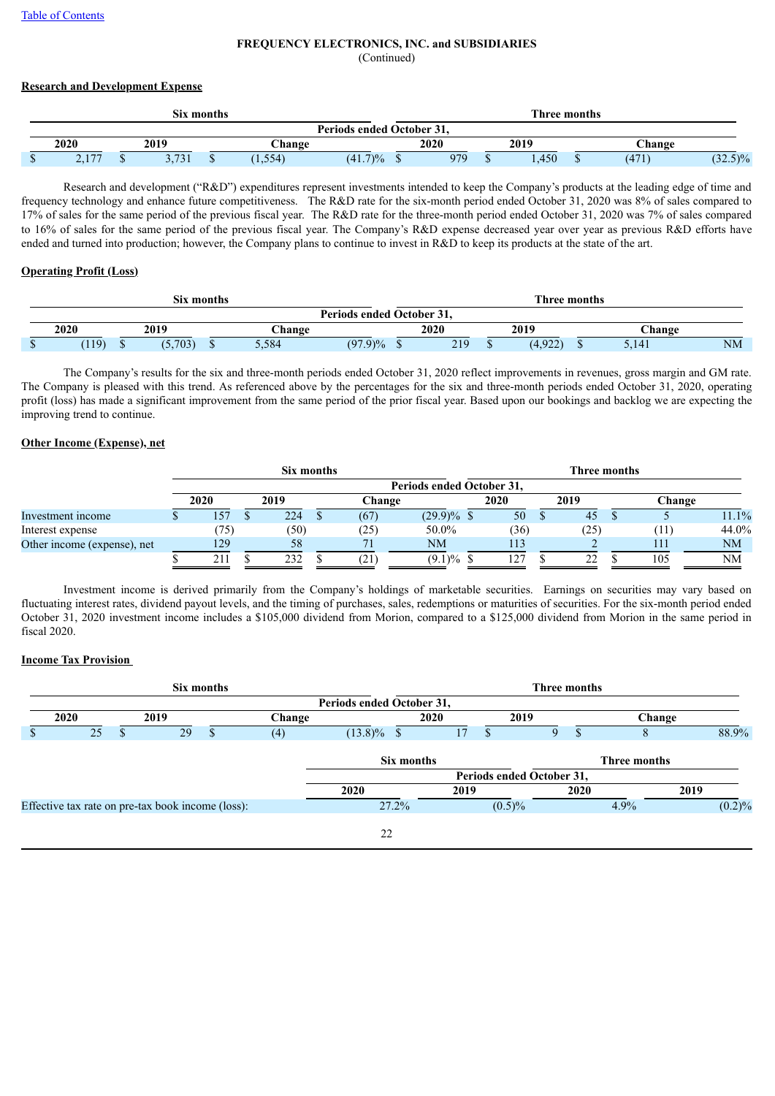## **Research and Development Expense**

|                           |  |      | Six months |          |                 | Three months |             |  |      |  |               |            |  |
|---------------------------|--|------|------------|----------|-----------------|--------------|-------------|--|------|--|---------------|------------|--|
| Periods ended October 31, |  |      |            |          |                 |              |             |  |      |  |               |            |  |
| 2020<br>2019              |  |      |            | hange:   |                 |              | <b>2020</b> |  | 2019 |  | <b>Change</b> |            |  |
| $\gamma$ 177<br>$\sim$ .1 |  | 1727 |            | (1, 554) | $7) \%$<br>(41) |              | 070         |  | ,450 |  | (471          | $(32.5)\%$ |  |

Research and development ("R&D") expenditures represent investments intended to keep the Company's products at the leading edge of time and frequency technology and enhance future competitiveness. The R&D rate for the six-month period ended October 31, 2020 was 8% of sales compared to 17% of sales for the same period of the previous fiscal year. The R&D rate for the three-month period ended October 31, 2020 was 7% of sales compared to 16% of sales for the same period of the previous fiscal year. The Company's R&D expense decreased year over year as previous R&D efforts have ended and turned into production; however, the Company plans to continue to invest in R&D to keep its products at the state of the art.

## **Operating Profit (Loss)**

|                           |  | $\sim$<br>Six months |               |       |            | Three months |                 |      |             |               |       |           |  |
|---------------------------|--|----------------------|---------------|-------|------------|--------------|-----------------|------|-------------|---------------|-------|-----------|--|
| Periods ended October 31, |  |                      |               |       |            |              |                 |      |             |               |       |           |  |
| 2020<br>2019              |  |                      | <b>Change</b> |       |            | 2020         |                 | 2019 |             | <b>Change</b> |       |           |  |
| (119)                     |  | (5,703)              |               | 5,584 | $(97.9)\%$ |              | 210<br>$\sim$ 1 |      | 4.922<br>ıд |               | 5.141 | <b>NM</b> |  |

The Company's results for the six and three-month periods ended October 31, 2020 reflect improvements in revenues, gross margin and GM rate. The Company is pleased with this trend. As referenced above by the percentages for the six and three-month periods ended October 31, 2020, operating profit (loss) has made a significant improvement from the same period of the prior fiscal year. Based upon our bookings and backlog we are expecting the improving trend to continue.

## **Other Income (Expense), net**

|                             |                           |      |  | Six months |  |        | Three months  |  |      |  |      |  |        |           |  |
|-----------------------------|---------------------------|------|--|------------|--|--------|---------------|--|------|--|------|--|--------|-----------|--|
|                             | Periods ended October 31, |      |  |            |  |        |               |  |      |  |      |  |        |           |  |
|                             |                           | 2020 |  | 2019       |  | Change |               |  | 2020 |  | 2019 |  | Change |           |  |
| Investment income           |                           | 157  |  | 224        |  | (67)   | $(29.9)\%$ \$ |  | 50   |  | 45   |  |        | 11.1%     |  |
| Interest expense            |                           | (75) |  | (50)       |  | (25)   | 50.0%         |  | (36) |  | (25) |  | (11)   | 44.0%     |  |
| Other income (expense), net |                           | 129  |  | 58         |  |        | <b>NM</b>     |  | 113  |  |      |  | 411    | <b>NM</b> |  |
|                             |                           | 211  |  | 232        |  | (21    | $(9.1)\%$ \$  |  | 127  |  | 22   |  | 105    | NΜ        |  |

Investment income is derived primarily from the Company's holdings of marketable securities. Earnings on securities may vary based on fluctuating interest rates, dividend payout levels, and the timing of purchases, sales, redemptions or maturities of securities. For the six-month period ended October 31, 2020 investment income includes a \$105,000 dividend from Morion, compared to a \$125,000 dividend from Morion in the same period in fiscal 2020.

## **Income Tax Provision**

| Six months                                        |      |    |      |    |   |        |                           | Three months |           |      |    |              |        |        |       |  |  |
|---------------------------------------------------|------|----|------|----|---|--------|---------------------------|--------------|-----------|------|----|--------------|--------|--------|-------|--|--|
|                                                   |      |    |      |    |   |        | Periods ended October 31, |              |           |      |    |              |        |        |       |  |  |
|                                                   | 2020 |    | 2019 |    |   | Change |                           | 2020         |           | 2019 |    |              | Change |        |       |  |  |
|                                                   |      | 25 | S    | 29 | S | (4)    | $(13.8)\%$ \$             |              | 17        | D    | 9. | S            | 8      |        | 88.9% |  |  |
|                                                   |      |    |      |    |   |        |                           | Six months   |           |      |    | Three months |        |        |       |  |  |
|                                                   |      |    |      |    |   |        |                           |              |           |      |    |              |        |        |       |  |  |
|                                                   |      |    |      |    |   |        | 2020                      |              | 2019      |      |    | 2020         |        | 2019   |       |  |  |
| Effective tax rate on pre-tax book income (loss): |      |    |      |    |   |        | 27.2%                     |              | $(0.5)\%$ |      |    | 4.9%         |        | (0.2)% |       |  |  |
|                                                   |      |    |      |    |   |        | 22                        |              |           |      |    |              |        |        |       |  |  |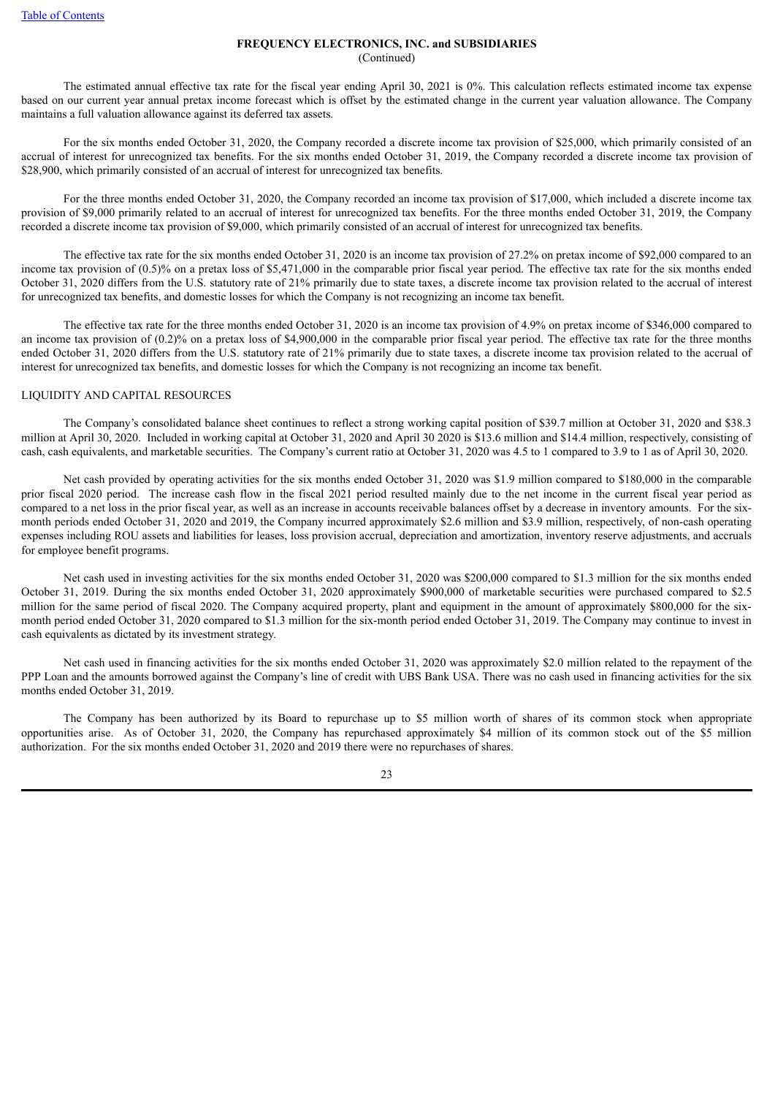The estimated annual effective tax rate for the fiscal year ending April 30, 2021 is 0%. This calculation reflects estimated income tax expense based on our current year annual pretax income forecast which is offset by the estimated change in the current year valuation allowance. The Company maintains a full valuation allowance against its deferred tax assets.

For the six months ended October 31, 2020, the Company recorded a discrete income tax provision of \$25,000, which primarily consisted of an accrual of interest for unrecognized tax benefits. For the six months ended October 31, 2019, the Company recorded a discrete income tax provision of \$28,900, which primarily consisted of an accrual of interest for unrecognized tax benefits.

For the three months ended October 31, 2020, the Company recorded an income tax provision of \$17,000, which included a discrete income tax provision of \$9,000 primarily related to an accrual of interest for unrecognized tax benefits. For the three months ended October 31, 2019, the Company recorded a discrete income tax provision of \$9,000, which primarily consisted of an accrual of interest for unrecognized tax benefits.

The effective tax rate for the six months ended October 31, 2020 is an income tax provision of 27.2% on pretax income of \$92,000 compared to an income tax provision of (0.5)% on a pretax loss of \$5,471,000 in the comparable prior fiscal year period. The effective tax rate for the six months ended October 31, 2020 differs from the U.S. statutory rate of 21% primarily due to state taxes, a discrete income tax provision related to the accrual of interest for unrecognized tax benefits, and domestic losses for which the Company is not recognizing an income tax benefit.

The effective tax rate for the three months ended October 31, 2020 is an income tax provision of 4.9% on pretax income of \$346,000 compared to an income tax provision of (0.2)% on a pretax loss of \$4,900,000 in the comparable prior fiscal year period. The effective tax rate for the three months ended October 31, 2020 differs from the U.S. statutory rate of 21% primarily due to state taxes, a discrete income tax provision related to the accrual of interest for unrecognized tax benefits, and domestic losses for which the Company is not recognizing an income tax benefit.

## LIQUIDITY AND CAPITAL RESOURCES

The Company's consolidated balance sheet continues to reflect a strong working capital position of \$39.7 million at October 31, 2020 and \$38.3 million at April 30, 2020. Included in working capital at October 31, 2020 and April 30 2020 is \$13.6 million and \$14.4 million, respectively, consisting of cash, cash equivalents, and marketable securities. The Company's current ratio at October 31, 2020 was 4.5 to 1 compared to 3.9 to 1 as of April 30, 2020.

Net cash provided by operating activities for the six months ended October 31, 2020 was \$1.9 million compared to \$180,000 in the comparable prior fiscal 2020 period. The increase cash flow in the fiscal 2021 period resulted mainly due to the net income in the current fiscal year period as compared to a net loss in the prior fiscal year, as well as an increase in accounts receivable balances offset by a decrease in inventory amounts. For the sixmonth periods ended October 31, 2020 and 2019, the Company incurred approximately \$2.6 million and \$3.9 million, respectively, of non-cash operating expenses including ROU assets and liabilities for leases, loss provision accrual, depreciation and amortization, inventory reserve adjustments, and accruals for employee benefit programs.

Net cash used in investing activities for the six months ended October 31, 2020 was \$200,000 compared to \$1.3 million for the six months ended October 31, 2019. During the six months ended October 31, 2020 approximately \$900,000 of marketable securities were purchased compared to \$2.5 million for the same period of fiscal 2020. The Company acquired property, plant and equipment in the amount of approximately \$800,000 for the sixmonth period ended October 31, 2020 compared to \$1.3 million for the six-month period ended October 31, 2019. The Company may continue to invest in cash equivalents as dictated by its investment strategy.

Net cash used in financing activities for the six months ended October 31, 2020 was approximately \$2.0 million related to the repayment of the PPP Loan and the amounts borrowed against the Company's line of credit with UBS Bank USA. There was no cash used in financing activities for the six months ended October 31, 2019.

The Company has been authorized by its Board to repurchase up to \$5 million worth of shares of its common stock when appropriate opportunities arise. As of October 31, 2020, the Company has repurchased approximately \$4 million of its common stock out of the \$5 million authorization. For the six months ended October 31, 2020 and 2019 there were no repurchases of shares.

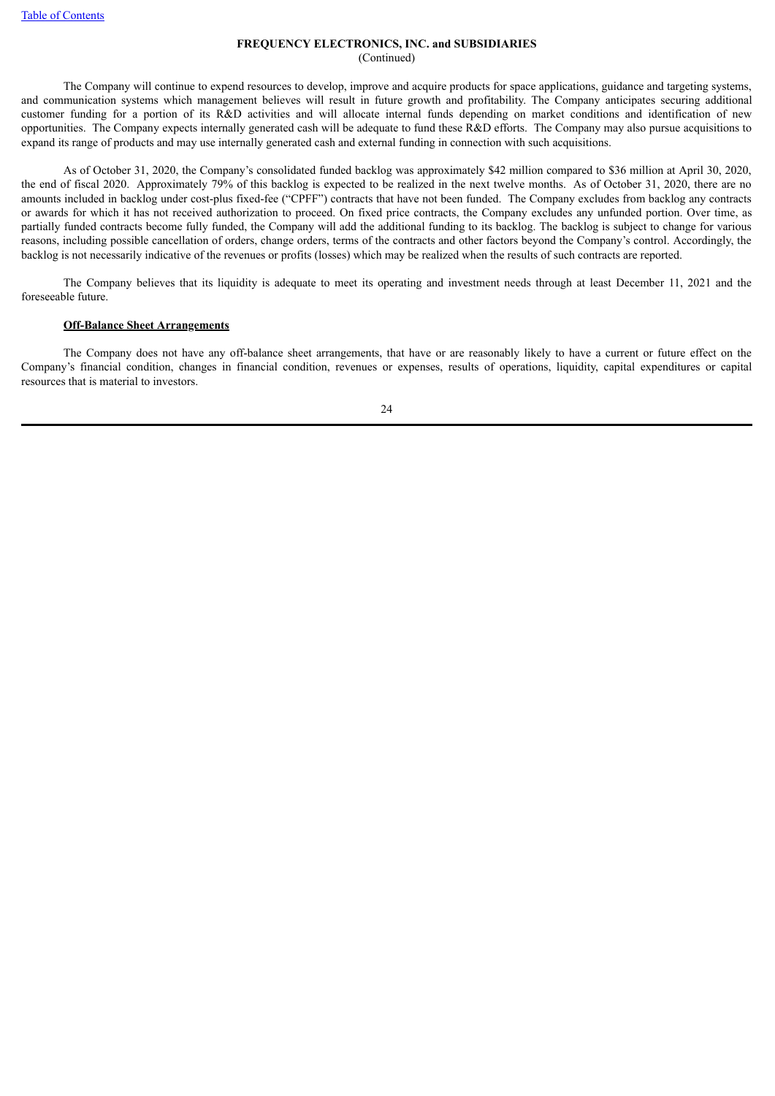The Company will continue to expend resources to develop, improve and acquire products for space applications, guidance and targeting systems, and communication systems which management believes will result in future growth and profitability. The Company anticipates securing additional customer funding for a portion of its R&D activities and will allocate internal funds depending on market conditions and identification of new opportunities. The Company expects internally generated cash will be adequate to fund these R&D efforts. The Company may also pursue acquisitions to expand its range of products and may use internally generated cash and external funding in connection with such acquisitions.

As of October 31, 2020, the Company's consolidated funded backlog was approximately \$42 million compared to \$36 million at April 30, 2020, the end of fiscal 2020. Approximately 79% of this backlog is expected to be realized in the next twelve months. As of October 31, 2020, there are no amounts included in backlog under cost-plus fixed-fee ("CPFF") contracts that have not been funded. The Company excludes from backlog any contracts or awards for which it has not received authorization to proceed. On fixed price contracts, the Company excludes any unfunded portion. Over time, as partially funded contracts become fully funded, the Company will add the additional funding to its backlog. The backlog is subject to change for various reasons, including possible cancellation of orders, change orders, terms of the contracts and other factors beyond the Company's control. Accordingly, the backlog is not necessarily indicative of the revenues or profits (losses) which may be realized when the results of such contracts are reported.

The Company believes that its liquidity is adequate to meet its operating and investment needs through at least December 11, 2021 and the foreseeable future.

## **Off-Balance Sheet Arrangements**

The Company does not have any off-balance sheet arrangements, that have or are reasonably likely to have a current or future effect on the Company's financial condition, changes in financial condition, revenues or expenses, results of operations, liquidity, capital expenditures or capital resources that is material to investors.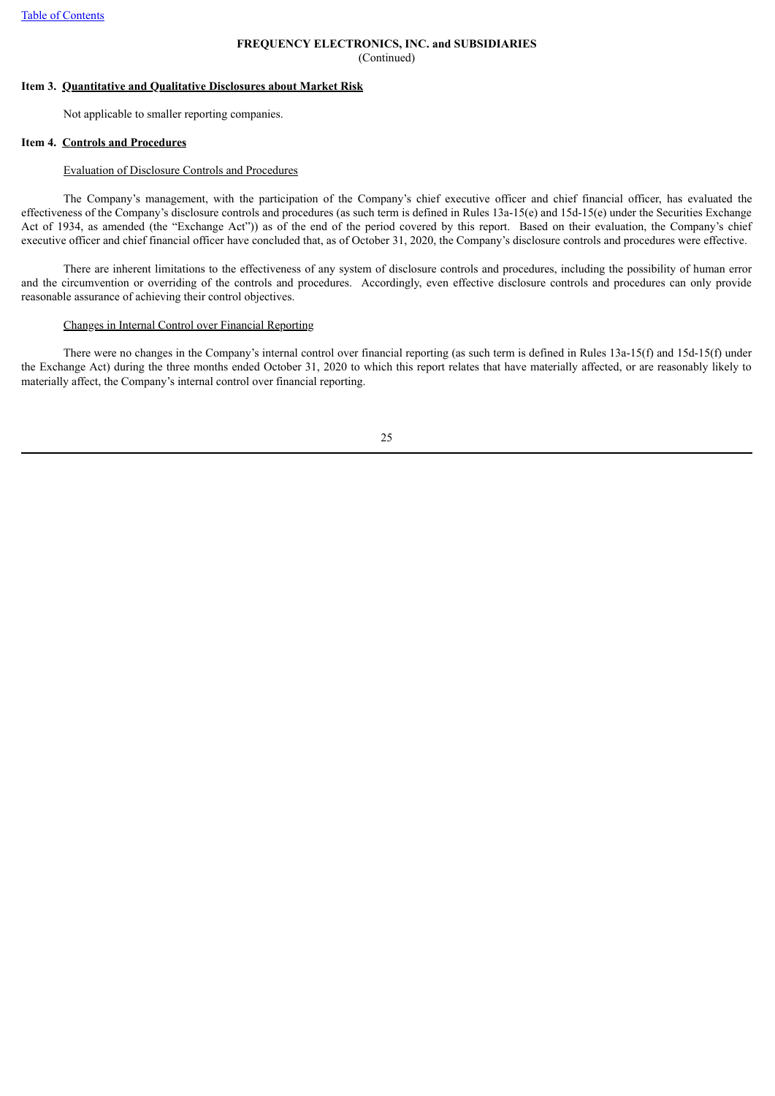#### <span id="page-24-0"></span>**Item 3. Quantitative and Qualitative Disclosures about Market Risk**

Not applicable to smaller reporting companies.

#### <span id="page-24-1"></span>**Item 4. Controls and Procedures**

#### Evaluation of Disclosure Controls and Procedures

The Company's management, with the participation of the Company's chief executive officer and chief financial officer, has evaluated the effectiveness of the Company's disclosure controls and procedures (as such term is defined in Rules  $13a-15(e)$  and  $15d-15(e)$  under the Securities Exchange Act of 1934, as amended (the "Exchange Act")) as of the end of the period covered by this report. Based on their evaluation, the Company's chief executive officer and chief financial officer have concluded that, as of October 31, 2020, the Company's disclosure controls and procedures were effective.

There are inherent limitations to the effectiveness of any system of disclosure controls and procedures, including the possibility of human error and the circumvention or overriding of the controls and procedures. Accordingly, even effective disclosure controls and procedures can only provide reasonable assurance of achieving their control objectives.

#### Changes in Internal Control over Financial Reporting

There were no changes in the Company's internal control over financial reporting (as such term is defined in Rules 13a-15(f) and 15d-15(f) under the Exchange Act) during the three months ended October 31, 2020 to which this report relates that have materially affected, or are reasonably likely to materially affect, the Company's internal control over financial reporting.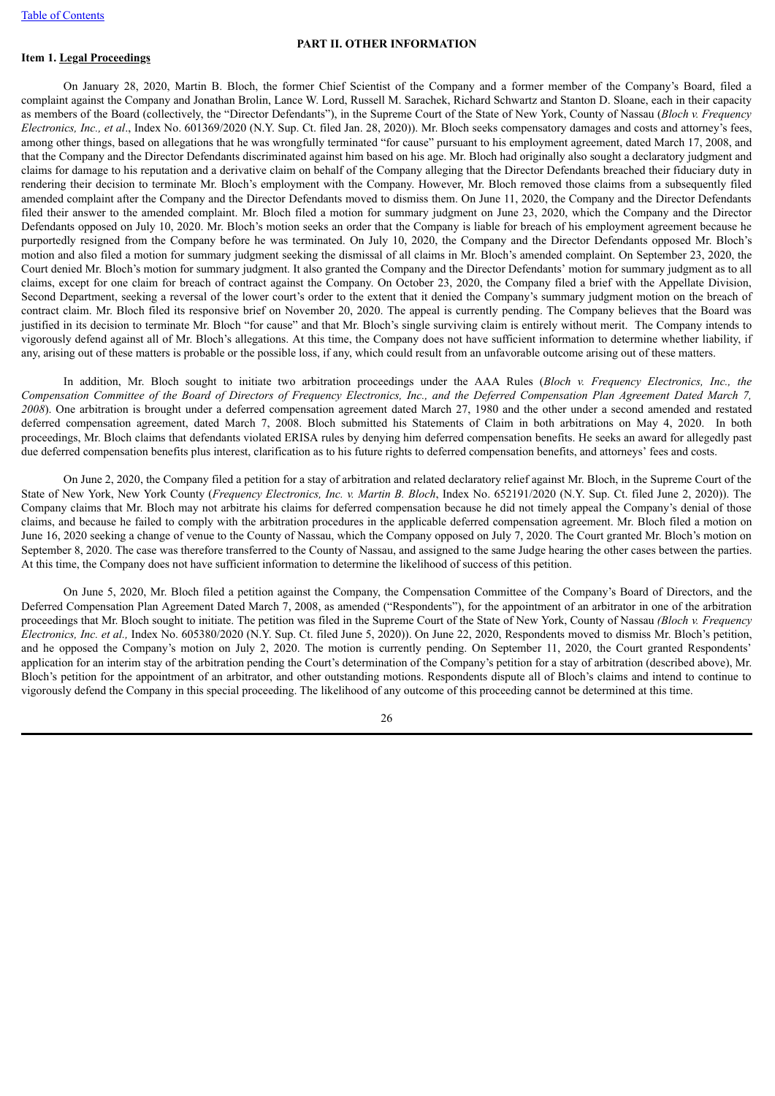## **PART II. OTHER INFORMATION**

#### <span id="page-25-0"></span>**Item 1. Legal Proceedings**

On January 28, 2020, Martin B. Bloch, the former Chief Scientist of the Company and a former member of the Company's Board, filed a complaint against the Company and Jonathan Brolin, Lance W. Lord, Russell M. Sarachek, Richard Schwartz and Stanton D. Sloane, each in their capacity as members of the Board (collectively, the "Director Defendants"), in the Supreme Court of the State of New York, County of Nassau (*Bloch v. Frequency Electronics, Inc., et al*., Index No. 601369/2020 (N.Y. Sup. Ct. filed Jan. 28, 2020)). Mr. Bloch seeks compensatory damages and costs and attorney's fees, among other things, based on allegations that he was wrongfully terminated "for cause" pursuant to his employment agreement, dated March 17, 2008, and that the Company and the Director Defendants discriminated against him based on his age. Mr. Bloch had originally also sought a declaratory judgment and claims for damage to his reputation and a derivative claim on behalf of the Company alleging that the Director Defendants breached their fiduciary duty in rendering their decision to terminate Mr. Bloch's employment with the Company. However, Mr. Bloch removed those claims from a subsequently filed amended complaint after the Company and the Director Defendants moved to dismiss them. On June 11, 2020, the Company and the Director Defendants filed their answer to the amended complaint. Mr. Bloch filed a motion for summary judgment on June 23, 2020, which the Company and the Director Defendants opposed on July 10, 2020. Mr. Bloch's motion seeks an order that the Company is liable for breach of his employment agreement because he purportedly resigned from the Company before he was terminated. On July 10, 2020, the Company and the Director Defendants opposed Mr. Bloch's motion and also filed a motion for summary judgment seeking the dismissal of all claims in Mr. Bloch's amended complaint. On September 23, 2020, the Court denied Mr. Bloch's motion for summary judgment. It also granted the Company and the Director Defendants' motion for summary judgment as to all claims, except for one claim for breach of contract against the Company. On October 23, 2020, the Company filed a brief with the Appellate Division, Second Department, seeking a reversal of the lower court's order to the extent that it denied the Company's summary judgment motion on the breach of contract claim. Mr. Bloch filed its responsive brief on November 20, 2020. The appeal is currently pending. The Company believes that the Board was justified in its decision to terminate Mr. Bloch "for cause" and that Mr. Bloch's single surviving claim is entirely without merit. The Company intends to vigorously defend against all of Mr. Bloch's allegations. At this time, the Company does not have sufficient information to determine whether liability, if any, arising out of these matters is probable or the possible loss, if any, which could result from an unfavorable outcome arising out of these matters.

In addition, Mr. Bloch sought to initiate two arbitration proceedings under the AAA Rules (*Bloch v. Frequency Electronics, Inc., the* Compensation Committee of the Board of Directors of Frequency Electronics, Inc., and the Deferred Compensation Plan Agreement Dated March 7, *2008*). One arbitration is brought under a deferred compensation agreement dated March 27, 1980 and the other under a second amended and restated deferred compensation agreement, dated March 7, 2008. Bloch submitted his Statements of Claim in both arbitrations on May 4, 2020. In both proceedings, Mr. Bloch claims that defendants violated ERISA rules by denying him deferred compensation benefits. He seeks an award for allegedly past due deferred compensation benefits plus interest, clarification as to his future rights to deferred compensation benefits, and attorneys' fees and costs.

On June 2, 2020, the Company filed a petition for a stay of arbitration and related declaratory relief against Mr. Bloch, in the Supreme Court of the State of New York, New York County (*Frequency Electronics, Inc. v. Martin B. Bloch*, Index No. 652191/2020 (N.Y. Sup. Ct. filed June 2, 2020)). The Company claims that Mr. Bloch may not arbitrate his claims for deferred compensation because he did not timely appeal the Company's denial of those claims, and because he failed to comply with the arbitration procedures in the applicable deferred compensation agreement. Mr. Bloch filed a motion on June 16, 2020 seeking a change of venue to the County of Nassau, which the Company opposed on July 7, 2020. The Court granted Mr. Bloch's motion on September 8, 2020. The case was therefore transferred to the County of Nassau, and assigned to the same Judge hearing the other cases between the parties. At this time, the Company does not have sufficient information to determine the likelihood of success of this petition.

On June 5, 2020, Mr. Bloch filed a petition against the Company, the Compensation Committee of the Company's Board of Directors, and the Deferred Compensation Plan Agreement Dated March 7, 2008, as amended ("Respondents"), for the appointment of an arbitrator in one of the arbitration proceedings that Mr. Bloch sought to initiate. The petition was filed in the Supreme Court of the State of New York, County of Nassau *(Bloch v. Frequency Electronics, Inc. et al.,* Index No. 605380/2020 (N.Y. Sup. Ct. filed June 5, 2020)). On June 22, 2020, Respondents moved to dismiss Mr. Bloch's petition, and he opposed the Company's motion on July 2, 2020. The motion is currently pending. On September 11, 2020, the Court granted Respondents' application for an interim stay of the arbitration pending the Court's determination of the Company's petition for a stay of arbitration (described above), Mr. Bloch's petition for the appointment of an arbitrator, and other outstanding motions. Respondents dispute all of Bloch's claims and intend to continue to vigorously defend the Company in this special proceeding. The likelihood of any outcome of this proceeding cannot be determined at this time.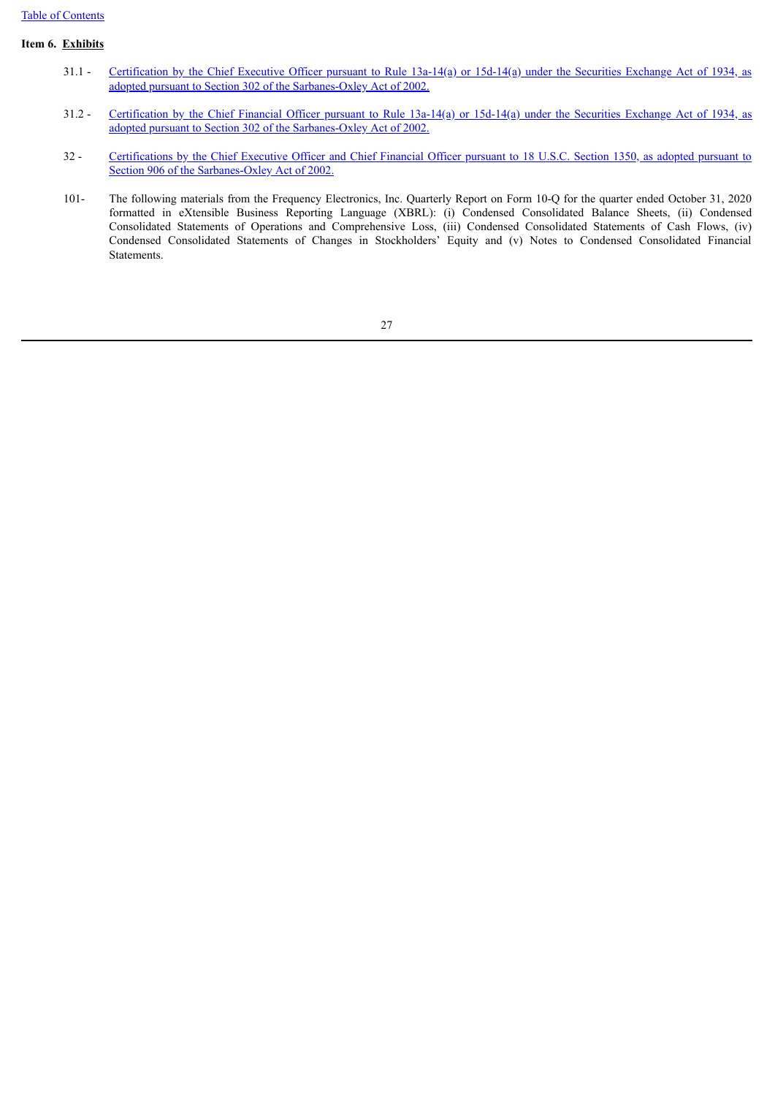## Table of [Contents](#page-1-0)

## <span id="page-26-0"></span>**Item 6. Exhibits**

- 31.1 Certification by the Chief Executive Officer pursuant to Rule 13a-14(a) or 15d-14(a) under the Securities Exchange Act of 1934, as adopted pursuant to Section 302 of the [Sarbanes-Oxley](#page-28-0) Act of 2002.
- 31.2 Certification by the Chief Financial Officer pursuant to Rule 13a-14(a) or 15d-14(a) under the Securities Exchange Act of 1934, as adopted pursuant to Section 302 of the [Sarbanes-Oxley](#page-29-0) Act of 2002.
- 32 Certifications by the Chief Executive Officer and Chief Financial Officer pursuant to 18 U.S.C. Section 1350, as adopted pursuant to Section 906 of the [Sarbanes-Oxley](#page-30-0) Act of 2002.
- 101- The following materials from the Frequency Electronics, Inc. Quarterly Report on Form 10-Q for the quarter ended October 31, 2020 formatted in eXtensible Business Reporting Language (XBRL): (i) Condensed Consolidated Balance Sheets, (ii) Condensed Consolidated Statements of Operations and Comprehensive Loss, (iii) Condensed Consolidated Statements of Cash Flows, (iv) Condensed Consolidated Statements of Changes in Stockholders' Equity and (v) Notes to Condensed Consolidated Financial Statements.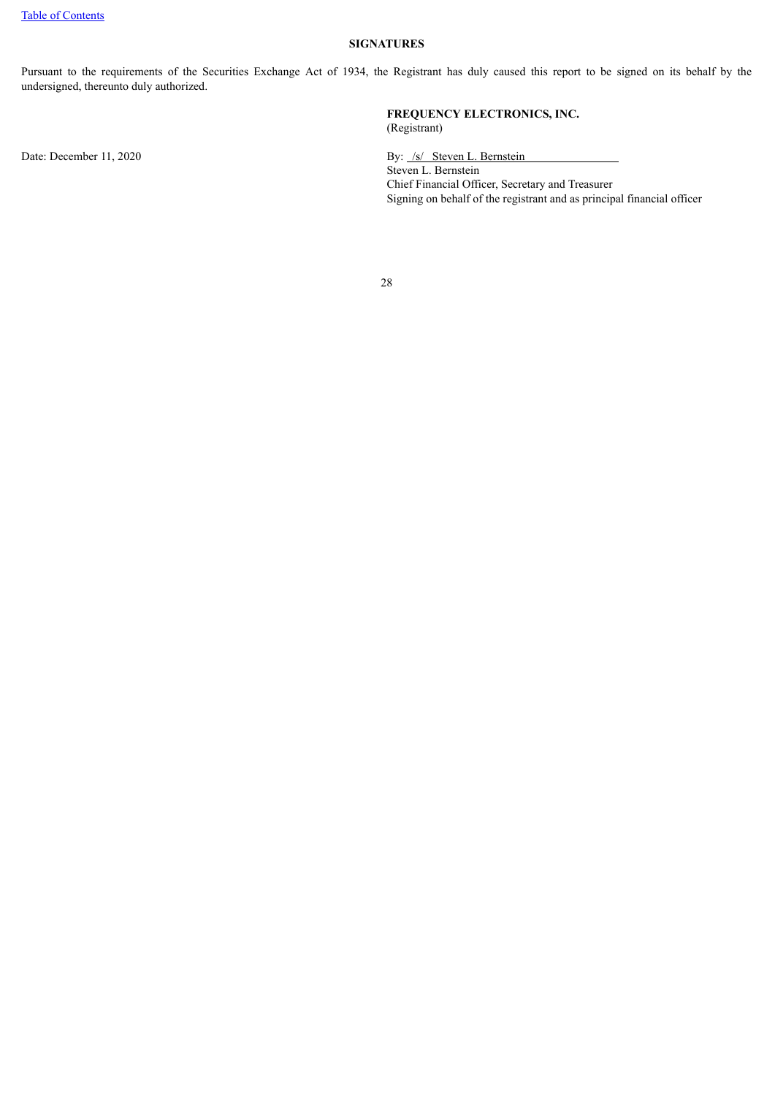## **SIGNATURES**

<span id="page-27-0"></span>Pursuant to the requirements of the Securities Exchange Act of 1934, the Registrant has duly caused this report to be signed on its behalf by the undersigned, thereunto duly authorized.

## **FREQUENCY ELECTRONICS, INC.** (Registrant)

Date: December 11, 2020 By: /s/ Steven L. Bernstein Steven L. Bernstein Chief Financial Officer, Secretary and Treasurer Signing on behalf of the registrant and as principal financial officer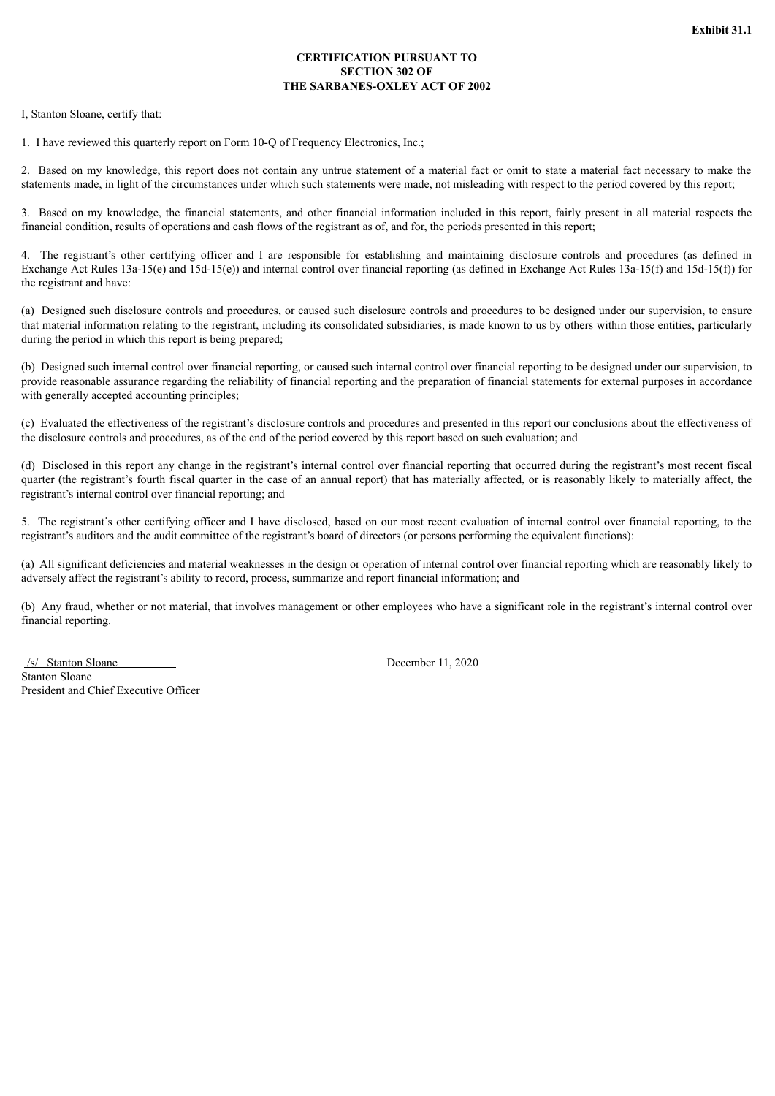## **CERTIFICATION PURSUANT TO SECTION 302 OF THE SARBANES-OXLEY ACT OF 2002**

<span id="page-28-0"></span>I, Stanton Sloane, certify that:

1. I have reviewed this quarterly report on Form 10-Q of Frequency Electronics, Inc.;

2. Based on my knowledge, this report does not contain any untrue statement of a material fact or omit to state a material fact necessary to make the statements made, in light of the circumstances under which such statements were made, not misleading with respect to the period covered by this report;

3. Based on my knowledge, the financial statements, and other financial information included in this report, fairly present in all material respects the financial condition, results of operations and cash flows of the registrant as of, and for, the periods presented in this report;

4. The registrant's other certifying officer and I are responsible for establishing and maintaining disclosure controls and procedures (as defined in Exchange Act Rules 13a-15(e) and 15d-15(e)) and internal control over financial reporting (as defined in Exchange Act Rules 13a-15(f) and 15d-15(f)) for the registrant and have:

(a) Designed such disclosure controls and procedures, or caused such disclosure controls and procedures to be designed under our supervision, to ensure that material information relating to the registrant, including its consolidated subsidiaries, is made known to us by others within those entities, particularly during the period in which this report is being prepared;

(b) Designed such internal control over financial reporting, or caused such internal control over financial reporting to be designed under our supervision, to provide reasonable assurance regarding the reliability of financial reporting and the preparation of financial statements for external purposes in accordance with generally accepted accounting principles;

(c) Evaluated the effectiveness of the registrant's disclosure controls and procedures and presented in this report our conclusions about the effectiveness of the disclosure controls and procedures, as of the end of the period covered by this report based on such evaluation; and

(d) Disclosed in this report any change in the registrant's internal control over financial reporting that occurred during the registrant's most recent fiscal quarter (the registrant's fourth fiscal quarter in the case of an annual report) that has materially affected, or is reasonably likely to materially affect, the registrant's internal control over financial reporting; and

5. The registrant's other certifying officer and I have disclosed, based on our most recent evaluation of internal control over financial reporting, to the registrant's auditors and the audit committee of the registrant's board of directors (or persons performing the equivalent functions):

(a) All significant deficiencies and material weaknesses in the design or operation of internal control over financial reporting which are reasonably likely to adversely affect the registrant's ability to record, process, summarize and report financial information; and

(b) Any fraud, whether or not material, that involves management or other employees who have a significant role in the registrant's internal control over financial reporting.

/s/ Stanton Sloane December 11, 2020 Stanton Sloane President and Chief Executive Officer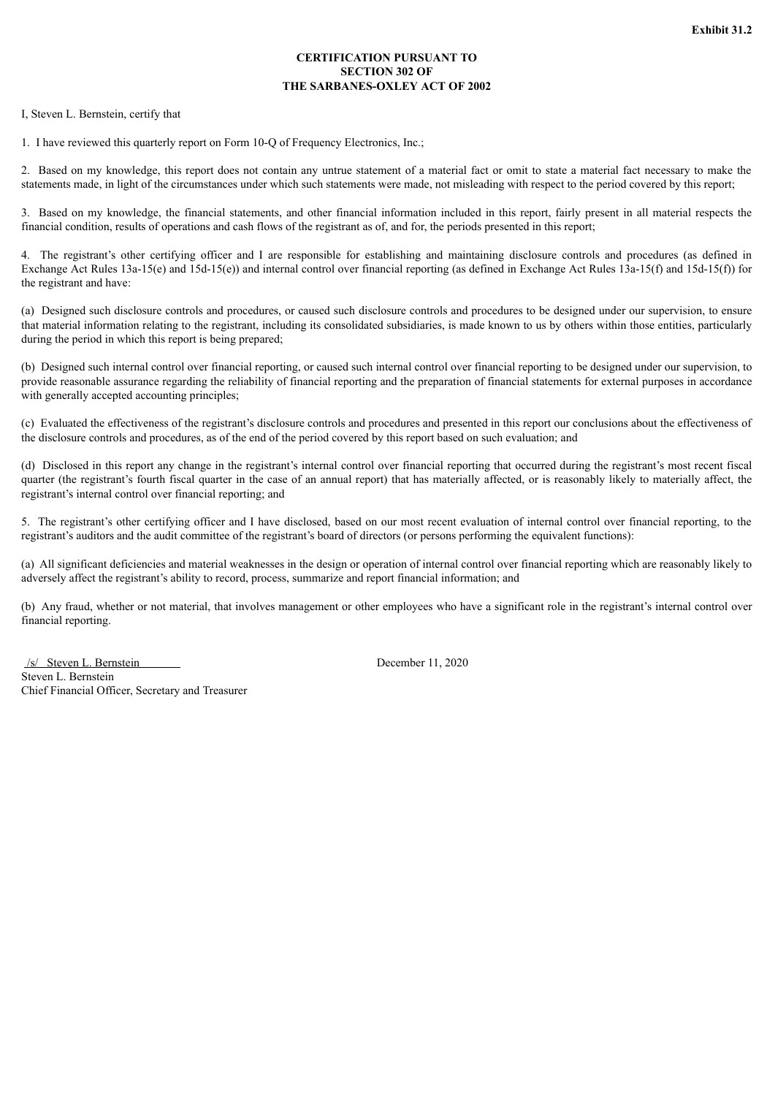## **CERTIFICATION PURSUANT TO SECTION 302 OF THE SARBANES-OXLEY ACT OF 2002**

<span id="page-29-0"></span>I, Steven L. Bernstein, certify that

1. I have reviewed this quarterly report on Form 10-Q of Frequency Electronics, Inc.;

2. Based on my knowledge, this report does not contain any untrue statement of a material fact or omit to state a material fact necessary to make the statements made, in light of the circumstances under which such statements were made, not misleading with respect to the period covered by this report;

3. Based on my knowledge, the financial statements, and other financial information included in this report, fairly present in all material respects the financial condition, results of operations and cash flows of the registrant as of, and for, the periods presented in this report;

4. The registrant's other certifying officer and I are responsible for establishing and maintaining disclosure controls and procedures (as defined in Exchange Act Rules 13a-15(e) and 15d-15(e)) and internal control over financial reporting (as defined in Exchange Act Rules 13a-15(f) and 15d-15(f)) for the registrant and have:

(a) Designed such disclosure controls and procedures, or caused such disclosure controls and procedures to be designed under our supervision, to ensure that material information relating to the registrant, including its consolidated subsidiaries, is made known to us by others within those entities, particularly during the period in which this report is being prepared;

(b) Designed such internal control over financial reporting, or caused such internal control over financial reporting to be designed under our supervision, to provide reasonable assurance regarding the reliability of financial reporting and the preparation of financial statements for external purposes in accordance with generally accepted accounting principles;

(c) Evaluated the effectiveness of the registrant's disclosure controls and procedures and presented in this report our conclusions about the effectiveness of the disclosure controls and procedures, as of the end of the period covered by this report based on such evaluation; and

(d) Disclosed in this report any change in the registrant's internal control over financial reporting that occurred during the registrant's most recent fiscal quarter (the registrant's fourth fiscal quarter in the case of an annual report) that has materially affected, or is reasonably likely to materially affect, the registrant's internal control over financial reporting; and

5. The registrant's other certifying officer and I have disclosed, based on our most recent evaluation of internal control over financial reporting, to the registrant's auditors and the audit committee of the registrant's board of directors (or persons performing the equivalent functions):

(a) All significant deficiencies and material weaknesses in the design or operation of internal control over financial reporting which are reasonably likely to adversely affect the registrant's ability to record, process, summarize and report financial information; and

(b) Any fraud, whether or not material, that involves management or other employees who have a significant role in the registrant's internal control over financial reporting.

/s/ Steven L. Bernstein December 11, 2020 Steven L. Bernstein Chief Financial Officer, Secretary and Treasurer